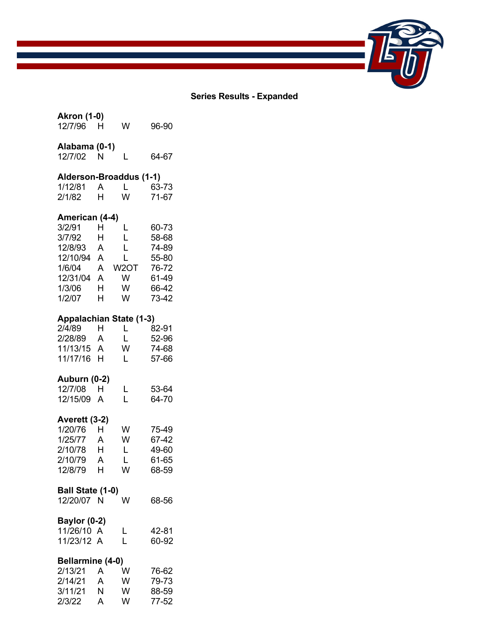

### **Series Results - Expanded**

## **Akron (1-0)**  12/7/96 H W 96-90 **Alabama (0-1)**

| Aldudilla (U-1) |   |       |
|-----------------|---|-------|
| 12/7/02         | N | 64-67 |

## **Alderson-Broaddus (1-1)**

| 1/12/81 |   |   | 63-73 |
|---------|---|---|-------|
| 2/1/82  | н | w | 71-67 |

## **American (4-4)**

| 3/2/91   | н | L    | 60-73 |
|----------|---|------|-------|
| 3/7/92   | н | L    | 58-68 |
| 12/8/93  | А | L    | 74-89 |
| 12/10/94 | А | L    | 55-80 |
|          |   |      |       |
| 1/6/04   | А | W2OT | 76-72 |
| 12/31/04 | А | w    | 61-49 |
| 1/3/06   | н | w    | 66-42 |

## **Appalachian State (1-3)**

| H          | L. | 82-91   |
|------------|----|---------|
| A          | Ι. | $52-96$ |
| 11/13/15 A | w  | 74-68   |
| H          | I. | 57-66   |
|            |    |         |

## **Auburn (0-2)**

| 12/7/08    | н. | 53-64 |
|------------|----|-------|
| 12/15/09 A |    | 64-70 |

## **Averett (3-2)**

| 1/20/76 | н | w | 75-49 |
|---------|---|---|-------|
| 1/25/77 | А | w | 67-42 |
| 2/10/78 | н | L | 49-60 |
| 2/10/79 | А | L | 61-65 |
| 12/8/79 | н | w | 68-59 |

### **Ball State (1-0)**

| 12/20/07 N | W | 68-56 |
|------------|---|-------|
|            |   |       |

## **Baylor (0-2)**

| 11/26/10 A |  | 42-81 |
|------------|--|-------|
| 11/23/12 A |  | 60-92 |

## **Bellarmine (4-0)**

| 2/13/21 | А | w | 76-62 |
|---------|---|---|-------|
| 2/14/21 | А | w | 79-73 |
| 3/11/21 | N | w | 88-59 |
| 2/3/22  | А | w | 77-52 |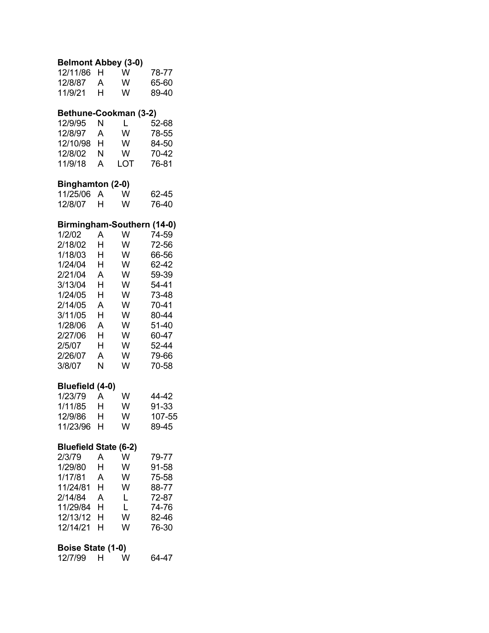## **Belmont Abbey (3-0)**

| 12/11/86 | н | w | 78-77 |
|----------|---|---|-------|
| 12/8/87  | A | w | 65-60 |
| 11/9/21  | н | w | 89-40 |

## **Bethune-Cookman (3-2)**

| 12/9/95  | N | L   | 52-68 |
|----------|---|-----|-------|
| 12/8/97  | А | w   | 78-55 |
| 12/10/98 | н | w   | 84-50 |
| 12/8/02  | N | w   | 70-42 |
| 11/9/18  | А | LOT | 76-81 |

## **Binghamton (2-0)**

| 11/25/06 A |   | w | 62-45 |
|------------|---|---|-------|
| 12/8/07    | н | w | 76-40 |

## **Birmingham-Southern (14-0)**

| 1/2/02  | А | w | 74-59 |
|---------|---|---|-------|
| 2/18/02 | н | w | 72-56 |
| 1/18/03 | н | w | 66-56 |
| 1/24/04 | н | w | 62-42 |
| 2/21/04 | А | w | 59-39 |
| 3/13/04 | н | w | 54-41 |
| 1/24/05 | н | w | 73-48 |
| 2/14/05 | А | w | 70-41 |
| 3/11/05 | н | w | 80-44 |
| 1/28/06 | А | w | 51-40 |
| 2/27/06 | н | w | 60-47 |
| 2/5/07  | н | w | 52-44 |
| 2/26/07 | А | w | 79-66 |
| 3/8/07  | N | w | 70-58 |

### **Bluefield (4-0)**

| 1/23/79  | А | w | 44-42  |
|----------|---|---|--------|
| 1/11/85  | н | w | 91-33  |
| 12/9/86  | н | w | 107-55 |
| 11/23/96 | н | w | 89-45  |

## **Bluefield State (6-2)**

| 2/3/79   | A | w | 79-77 |
|----------|---|---|-------|
| 1/29/80  | н | w | 91-58 |
| 1/17/81  | A | w | 75-58 |
| 11/24/81 | н | w | 88-77 |
| 2/14/84  | А | L | 72-87 |
| 11/29/84 | н | L | 74-76 |
| 12/13/12 | н | w | 82-46 |
| 12/14/21 | н | w | 76-30 |
|          |   |   |       |

## **Boise State (1-0)**

| 12/7/99 | W | 64-47 |
|---------|---|-------|
|         |   |       |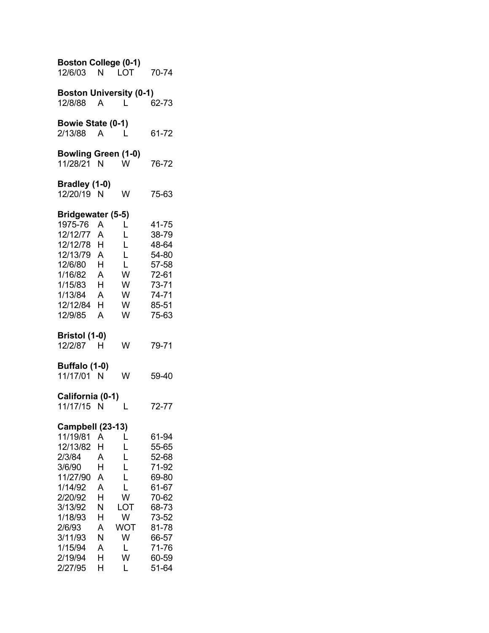| <b>Boston College (0-1)</b><br>12/6/03                                                                                                                                     | N                                                                   | LOT                                                                    | 70-74                                                                                                                      |
|----------------------------------------------------------------------------------------------------------------------------------------------------------------------------|---------------------------------------------------------------------|------------------------------------------------------------------------|----------------------------------------------------------------------------------------------------------------------------|
| <b>Boston University (0-1)</b><br>12/8/88                                                                                                                                  | $\mathsf{A}$                                                        | L.                                                                     | 62-73                                                                                                                      |
| <b>Bowie State (0-1)</b><br>2/13/88                                                                                                                                        | A                                                                   | L                                                                      | 61-72                                                                                                                      |
| <b>Bowling Green (1-0)</b><br>11/28/21                                                                                                                                     | N                                                                   | W                                                                      | 76-72                                                                                                                      |
| Bradley (1-0)<br>12/20/19 N                                                                                                                                                |                                                                     | W                                                                      | 75-63                                                                                                                      |
| Bridgewater (5-5)<br>1975-76<br>12/12/77<br>12/12/78 H<br>12/13/79 A<br>12/6/80 H<br>1/16/82 A<br>1/15/83 H<br>1/13/84 A<br>12/12/84 H<br>12/9/85                          | A<br>A<br>A                                                         | L<br>L<br>L<br>L<br>L<br>W<br>W<br>W<br>W<br>W                         | 41-75<br>38-79<br>48-64<br>54-80<br>57-58<br>72-61<br>73-71<br>74-71<br>85-51<br>75-63                                     |
| Bristol (1-0)<br>12/2/87                                                                                                                                                   | н                                                                   | w                                                                      | 79-71                                                                                                                      |
| Buffalo (1-0)<br>11/17/01 N                                                                                                                                                |                                                                     | W                                                                      | 59-40                                                                                                                      |
| California (0-1)<br>11/17/15 N                                                                                                                                             |                                                                     | L                                                                      | 72-77                                                                                                                      |
| Campbell (23-13)<br>11/19/81<br>12/13/82<br>2/3/84<br>3/6/90<br>11/27/90<br>1/14/92<br>2/20/92<br>3/13/92<br>1/18/93<br>2/6/93<br>3/11/93<br>1/15/94<br>2/19/94<br>2/27/95 | A<br>н<br>A<br>Н<br>A<br>A<br>H<br>N<br>H.<br>A<br>N<br>A<br>H<br>H | L<br>L<br>L<br>L<br>L<br>L<br>W<br>LOT<br>W<br>WOT<br>W<br>L<br>W<br>L | 61-94<br>55-65<br>52-68<br>71-92<br>69-80<br>61-67<br>70-62<br>68-73<br>73-52<br>81-78<br>66-57<br>71-76<br>60-59<br>51-64 |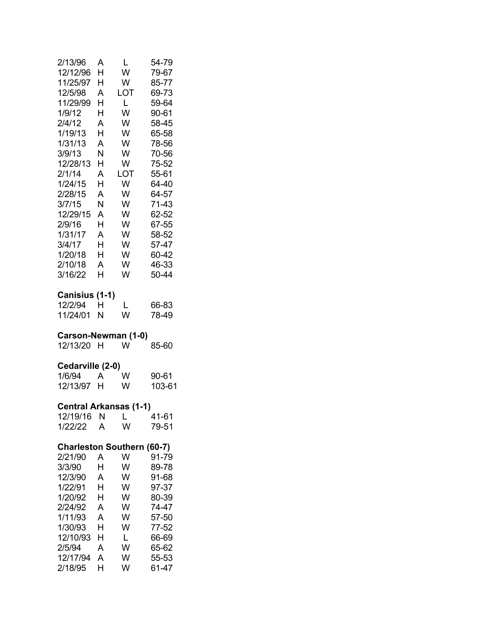| 2/13/96<br>12/12/96<br>11/25/97<br>12/5/98<br>11/29/99<br>1/9/12<br>2/4/12<br>1/19/13<br>1/31/13<br>3/9/13<br>12/28/13<br>2/1/14<br>1/24/15<br>2/28/15<br>3/7/15<br>12/29/15<br>2/9/16<br>1/31/17 | A<br>Н<br>Н<br>A<br>Н<br>Н<br>A<br>H<br>A<br>Ν<br>Н<br>A<br>H<br>A<br>N<br>A<br>H<br>A | L<br>W<br>W<br>LOT<br>$\mathsf{L}$<br>W<br>W<br>W<br>W<br>W<br>W<br>LOT<br>W<br>W<br>W<br>W<br>W<br>W | 54-79<br>79-67<br>85-77<br>69-73<br>59-64<br>90-61<br>58-45<br>65-58<br>78-56<br>70-56<br>75-52<br>55-61<br>64-40<br>64-57<br>71-43<br>62-52<br>67-55<br>58-52 |
|---------------------------------------------------------------------------------------------------------------------------------------------------------------------------------------------------|----------------------------------------------------------------------------------------|-------------------------------------------------------------------------------------------------------|----------------------------------------------------------------------------------------------------------------------------------------------------------------|
| 3/4/17                                                                                                                                                                                            | H                                                                                      | W                                                                                                     | 57-47                                                                                                                                                          |
| 1/20/18<br>2/10/18                                                                                                                                                                                | H<br>A                                                                                 | W<br>W                                                                                                | 60-42<br>46-33                                                                                                                                                 |
| 3/16/22                                                                                                                                                                                           | H                                                                                      | W                                                                                                     | 50-44                                                                                                                                                          |
| Canisius (1-1)<br>12/2/94<br>11/24/01                                                                                                                                                             | Н<br>N                                                                                 | L<br>W                                                                                                | 66-83<br>78-49                                                                                                                                                 |
| Carson-Newman (1-0)<br>12/13/20                                                                                                                                                                   | н                                                                                      | W                                                                                                     | 85-60                                                                                                                                                          |
| Cedarville (2-0)                                                                                                                                                                                  |                                                                                        |                                                                                                       |                                                                                                                                                                |
| 1/6/94<br>12/13/97                                                                                                                                                                                | A<br>H                                                                                 | W<br>W                                                                                                | 90-61<br>103-61                                                                                                                                                |
|                                                                                                                                                                                                   |                                                                                        |                                                                                                       |                                                                                                                                                                |
| <b>Central Arkansas (1-1)</b><br>12/19/16 N L 41-61                                                                                                                                               |                                                                                        |                                                                                                       |                                                                                                                                                                |
| 1/22/22                                                                                                                                                                                           | Α                                                                                      | W                                                                                                     | 79-51                                                                                                                                                          |
| <b>Charleston Southern (60-7)</b>                                                                                                                                                                 |                                                                                        |                                                                                                       |                                                                                                                                                                |
| 2/21/90<br>3/3/90                                                                                                                                                                                 | Α<br>Н                                                                                 | W<br>W                                                                                                | 91-79<br>89-78                                                                                                                                                 |
| 12/3/90                                                                                                                                                                                           | A                                                                                      | W                                                                                                     | 91-68                                                                                                                                                          |
| 1/22/91                                                                                                                                                                                           | Н                                                                                      | W                                                                                                     | 97-37                                                                                                                                                          |
| 1/20/92                                                                                                                                                                                           | Н                                                                                      | W                                                                                                     | 80-39                                                                                                                                                          |
| 2/24/92                                                                                                                                                                                           | A                                                                                      | W                                                                                                     | 74-47                                                                                                                                                          |
| 1/11/93                                                                                                                                                                                           | A                                                                                      | W                                                                                                     | 57-50                                                                                                                                                          |
| 1/30/93                                                                                                                                                                                           | Н                                                                                      | W                                                                                                     | 77-52                                                                                                                                                          |
| 12/10/93                                                                                                                                                                                          | Н                                                                                      | L                                                                                                     | 66-69                                                                                                                                                          |
| 2/5/94                                                                                                                                                                                            | A                                                                                      | W                                                                                                     | 65-62                                                                                                                                                          |
| 12/17/94                                                                                                                                                                                          | Α                                                                                      | W                                                                                                     | 55-53                                                                                                                                                          |
| 2/18/95                                                                                                                                                                                           | Н                                                                                      | W                                                                                                     | 61-47                                                                                                                                                          |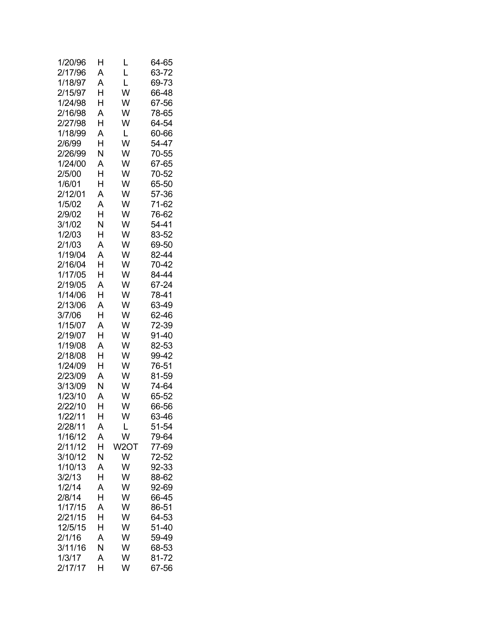| 1/20/96 | Н | L    | 64-65 |
|---------|---|------|-------|
| 2/17/96 | A | L    | 63-72 |
| 1/18/97 | A | L    | 69-73 |
| 2/15/97 | H | W    | 66-48 |
| 1/24/98 | H | W    | 67-56 |
| 2/16/98 | A | W    | 78-65 |
| 2/27/98 | H | W    | 64-54 |
| 1/18/99 | A | L    | 60-66 |
| 2/6/99  | Н | W    | 54-47 |
| 2/26/99 | N | W    | 70-55 |
| 1/24/00 | A | W    | 67-65 |
| 2/5/00  | H | W    | 70-52 |
| 1/6/01  | Н | W    | 65-50 |
| 2/12/01 | A | W    | 57-36 |
| 1/5/02  | A | W    | 71-62 |
| 2/9/02  | H | W    | 76-62 |
| 3/1/02  | N | W    | 54-41 |
| 1/2/03  | H | W    | 83-52 |
| 2/1/03  | A | W    | 69-50 |
| 1/19/04 | A | W    | 82-44 |
| 2/16/04 | H | W    | 70-42 |
|         |   |      | 84-44 |
| 1/17/05 | Н | W    |       |
| 2/19/05 | A | W    | 67-24 |
| 1/14/06 | H | W    | 78-41 |
| 2/13/06 | A | W    | 63-49 |
| 3/7/06  | H | W    | 62-46 |
| 1/15/07 | A | W    | 72-39 |
| 2/19/07 | Н | W    | 91-40 |
| 1/19/08 | A | W    | 82-53 |
| 2/18/08 | H | W    | 99-42 |
| 1/24/09 | Н | W    | 76-51 |
| 2/23/09 | A | W    | 81-59 |
| 3/13/09 | N | W    | 74-64 |
| 1/23/10 | A | W    | 65-52 |
| 2/22/10 | H | W    | 66-56 |
| 1/22/11 | Н | w    | 63-46 |
| 2/28/11 | A | L    | 51-54 |
| 1/16/12 | A | W    | 79-64 |
| 2/11/12 | Н | W2OT | 77-69 |
| 3/10/12 | N | W    | 72-52 |
| 1/10/13 | A | W    | 92-33 |
| 3/2/13  | Н | W    | 88-62 |
| 1/2/14  | A | W    | 92-69 |
| 2/8/14  | Н | W    | 66-45 |
| 1/17/15 | A | W    | 86-51 |
| 2/21/15 | Η | W    | 64-53 |
| 12/5/15 | Н | W    | 51-40 |
| 2/1/16  | A | W    | 59-49 |
| 3/11/16 | N | W    | 68-53 |
| 1/3/17  | A | W    | 81-72 |
| 2/17/17 | Н | W    | 67-56 |
|         |   |      |       |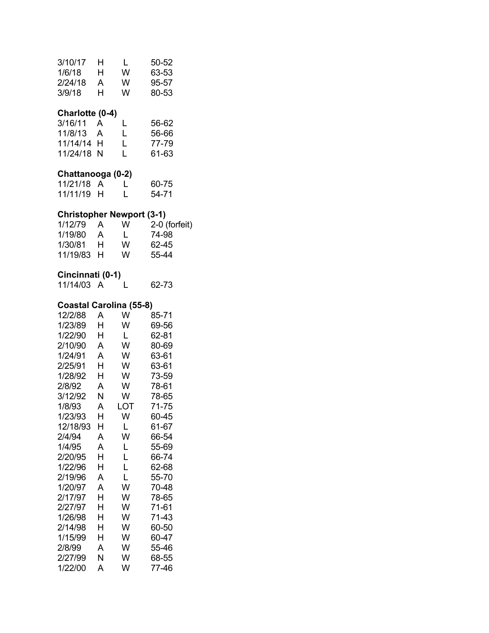| 3/10/17<br>1/6/18<br>2/24/18<br>3/9/18                                                                                                                                                                                                                 | н<br>н<br>A<br>H.                                                                                                 | L<br>W<br>W<br>W                                                                                                                                            | 50-52<br>63-53<br>95-57<br>80-53                                                                                                                                                                            |
|--------------------------------------------------------------------------------------------------------------------------------------------------------------------------------------------------------------------------------------------------------|-------------------------------------------------------------------------------------------------------------------|-------------------------------------------------------------------------------------------------------------------------------------------------------------|-------------------------------------------------------------------------------------------------------------------------------------------------------------------------------------------------------------|
| Charlotte (0-4)<br>3/16/11<br>11/8/13<br>11/14/14<br>11/24/18                                                                                                                                                                                          | A<br>A<br>н<br>N                                                                                                  | L<br>L<br>L<br>L                                                                                                                                            | 56-62<br>56-66<br>77-79<br>61-63                                                                                                                                                                            |
| Chattanooga (0-2)<br>11/21/18 A<br>11/11/19                                                                                                                                                                                                            | H.                                                                                                                | L<br>L                                                                                                                                                      | 60-75<br>54-71                                                                                                                                                                                              |
| 1/12/79<br>1/19/80<br>1/30/81<br>11/19/83                                                                                                                                                                                                              | A,<br>A<br>H.<br>H.                                                                                               | <b>Christopher Newport (3-1)</b><br>W<br>L.<br>W<br>W                                                                                                       | 2-0 (forfeit)<br>74-98<br>62-45<br>55-44                                                                                                                                                                    |
| Cincinnati (0-1)<br>11/14/03 A                                                                                                                                                                                                                         |                                                                                                                   | L                                                                                                                                                           | 62-73                                                                                                                                                                                                       |
| 12/2/88<br>1/23/89<br>1/22/90<br>2/10/90<br>1/24/91<br>2/25/91<br>1/28/92<br>2/8/92<br>3/12/92<br>1/8/93<br>1/23/93<br>12/18/93<br>2/4/94<br>1/4/95<br>2/20/95<br>1/22/96<br>2/19/96<br>1/20/97<br>2/17/97<br>2/27/97<br>1/26/98<br>2/14/98<br>1/15/99 | Α<br>н<br>H.<br>A<br>A<br>H.<br>H<br>A<br>N<br>A<br>Н<br>Н<br>A<br>A<br>Н<br>Н<br>A<br>A<br>Н<br>Н<br>н<br>н<br>н | <b>Coastal Carolina (55-8)</b><br>W<br>W<br>L.<br>W<br>W<br>W<br>W<br>W<br>W<br><b>LOT</b><br>W<br>L<br>W<br>L<br>L<br>L<br>L<br>W<br>W<br>W<br>W<br>W<br>W | 85-71<br>69-56<br>62-81<br>80-69<br>63-61<br>63-61<br>73-59<br>78-61<br>78-65<br>71-75<br>60-45<br>61-67<br>66-54<br>55-69<br>66-74<br>62-68<br>55-70<br>70-48<br>78-65<br>71-61<br>71-43<br>60-50<br>60-47 |
| 2/8/99                                                                                                                                                                                                                                                 | А                                                                                                                 | W                                                                                                                                                           | 55-46                                                                                                                                                                                                       |

2/27/99 N W 68-55 1/22/00 A W 77-46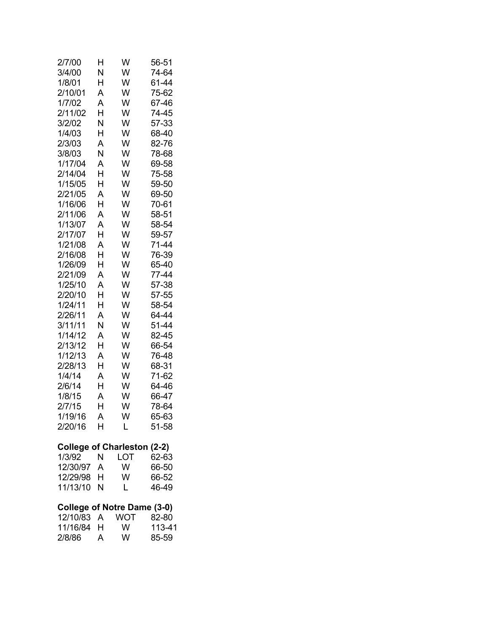| 2/7/00                             | н              | W        | 56-51     |
|------------------------------------|----------------|----------|-----------|
| 3/4/00                             | Ν              | W        | 74-64     |
| 1/8/01                             | H              | W        | 61-44     |
| 2/10/01                            | A              | W        | 75-62     |
| 1/7/02                             | A              | W        | 67-46     |
| 2/11/02                            | Н              | W        | 74-45     |
| 3/2/02                             | N              | W        | 57-33     |
| 1/4/03                             | H              | W        | 68-40     |
| 2/3/03                             | A              | W        | 82-76     |
| 3/8/03                             | N              | W        | 78-68     |
| 1/17/04                            | A              | W        | 69-58     |
| 2/14/04                            | H              | W        | 75-58     |
| 1/15/05                            | H              | W        | 59-50     |
| 2/21/05                            | A              | W        | 69-50     |
| 1/16/06                            | Н              | W        | 70-61     |
| 2/11/06                            | A              | W        | 58-51     |
| 1/13/07                            | A              | W        | 58-54     |
| 2/17/07                            | H              | W        | 59-57     |
| 1/21/08                            | A              | W        | 71-44     |
| 2/16/08                            | H              | W        | 76-39     |
| 1/26/09                            | H              | W        | 65-40     |
| 2/21/09                            | A              | W        | 77-44     |
| 1/25/10                            | A              | W        | 57-38     |
| 2/20/10                            | Н              | W        | 57-55     |
| 1/24/11                            | Н              | W        | 58-54     |
| 2/26/11                            | A              | W        | 64-44     |
| 3/11/11                            | N              | W        | 51-44     |
| 1/14/12                            | A              | W        | 82-45     |
| 2/13/12                            | H              | W        | 66-54     |
| 1/12/13                            | A              | W        | 76-48     |
|                                    | H              | W        |           |
| 2/28/13<br>1/4/14                  |                | W        | 68-31     |
|                                    | A              |          | 71-62     |
| 2/6/14                             | H              | W        | 64-46     |
| 1/8/15                             | A              | W        | 66-47     |
| 2/7/15                             | H              | W        | 78-64     |
| 1/19/16                            | $\overline{A}$ | W        | 65-63     |
| 2/20/16                            | H              | L        | 51-58     |
| <b>College of Charleston (2-2)</b> |                |          |           |
| 1/3/92                             | N              |          | LOT 62-63 |
| 12/30/97 A                         |                | <b>W</b> | 66-50     |
| 12/29/98 H                         |                | W        | 66-52     |
| 11/13/10                           | N              | L.       | 46-49     |
| <b>College of Notre Dame (3-0)</b> |                |          |           |
| 12/10/83 A WOT 82-80               |                |          |           |
| 11/16/84 H                         |                | W        | 113-41    |
| 2/8/86                             | A              | W l      | 85-59     |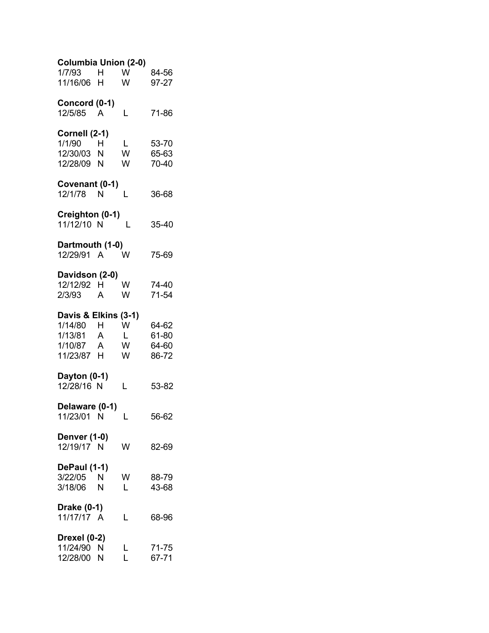| Columbia Union (2-0)       |              |              |                |
|----------------------------|--------------|--------------|----------------|
| 1/7/93                     | H            | W            | 84-56          |
| 11/16/06 H                 |              | W            | 97-27          |
| Concord (0-1)              |              |              |                |
| 12/5/85                    | A            | L            | 71-86          |
|                            |              |              |                |
| Cornell (2-1)              |              |              |                |
| 1/1/90<br>12/30/03         | Η<br>N       | L<br>W       | 53-70<br>65-63 |
| 12/28/09 N                 |              | W            | 70-40          |
|                            |              |              |                |
| Covenant (0-1)             |              |              |                |
| 12/1/78 N                  |              | L            | 36-68          |
| Creighton (0-1)            |              |              |                |
| 11/12/10 N                 |              | L            | 35-40          |
|                            |              |              |                |
| Dartmouth (1-0)            |              |              |                |
| 12/29/91 A                 |              | W            | 75-69          |
| Davidson (2-0)             |              |              |                |
| 12/12/92 H                 |              | W            | 74-40          |
| 2/3/93                     | A            | W            | 71-54          |
| Davis & Elkins             |              |              |                |
| 1/14/80                    | H            | $(3-1)$<br>W | 64-62          |
| 1/13/81                    | $\mathsf{A}$ | L            | 61-80          |
| 1/10/87                    | A            | W            | 64-60          |
| 11/23/87 H                 |              | W            | 86-72          |
|                            |              |              |                |
| Dayton (0-1)<br>12/28/16 N |              | L            | 53-82          |
|                            |              |              |                |
| Delaware (0-1)             |              |              |                |
| 11/23/01 N                 |              | L            | 56-62          |
| <b>Denver (1-0)</b>        |              |              |                |
| 12/19/17 N                 |              | W            | 82-69          |
|                            |              |              |                |
| DePaul (1-1)               |              |              |                |
| 3/22/05 N                  |              | W            | 88-79          |
| 3/18/06                    | N            | L            | 43-68          |
| Drake (0-1)                |              |              |                |
| 11/17/17 A                 |              | L            | 68-96          |
|                            |              |              |                |
| Drexel (0-2)<br>11/24/90   | N            | L            | 71-75          |
| 12/28/00                   | N            | L            | 67-71          |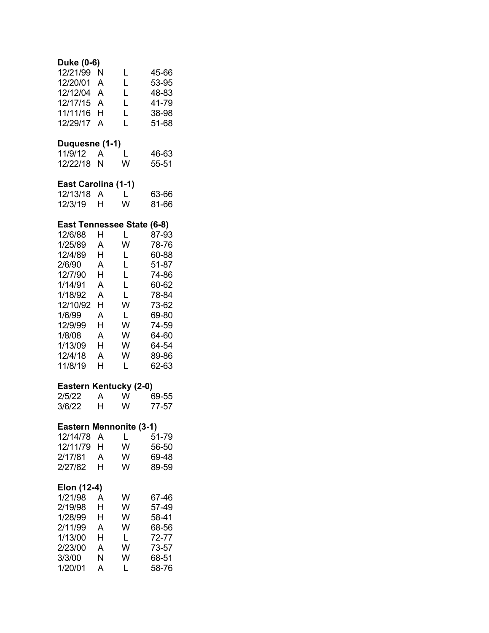| Duke (0-6)<br>12/21/99<br>12/20/01<br>12/12/04<br>12/17/15<br>11/11/16<br>12/29/17                                                                   | N<br>A<br>A<br>A<br>Н<br>A                                         | L<br>L<br>Ĺ<br>Ĺ<br>Ĺ<br>Ĺ                                                                       | 45-66<br>53-95<br>48-83<br>41-79<br>38-98<br>51-68                                                                         |
|------------------------------------------------------------------------------------------------------------------------------------------------------|--------------------------------------------------------------------|--------------------------------------------------------------------------------------------------|----------------------------------------------------------------------------------------------------------------------------|
| <b>Duquesne (1-1)</b><br>11/9/12<br>12/22/18                                                                                                         | A<br>N                                                             | L<br>W                                                                                           | 46-63<br>55-51                                                                                                             |
| East Carolina (1-1)<br>12/13/18<br>12/3/19                                                                                                           | A<br>н                                                             | L<br>W                                                                                           | 63-66<br>81-66                                                                                                             |
| 12/6/88<br>1/25/89<br>12/4/89<br>2/6/90<br>12/7/90<br>1/14/91<br>1/18/92<br>12/10/92<br>1/6/99<br>12/9/99<br>1/8/08<br>1/13/09<br>12/4/18<br>11/8/19 | н<br>A<br>Н<br>A<br>H<br>A<br>A<br>Н<br>A<br>H<br>A<br>H<br>A<br>н | East Tennessee State (6-8)<br>L<br>W<br>L<br>L<br>L<br>Ĺ<br>L<br>W<br>L<br>W<br>W<br>W<br>W<br>L | 87-93<br>78-76<br>60-88<br>51-87<br>74-86<br>60-62<br>78-84<br>73-62<br>69-80<br>74-59<br>64-60<br>64-54<br>89-86<br>62-63 |
| 2/5/22<br>3/6/22                                                                                                                                     | A<br>H                                                             | Eastern Kentucky (2-0)<br>W<br>W                                                                 | 69-55<br>77-57                                                                                                             |
| 12/14/78<br>12/11/79<br>2/17/81<br>2/27/82                                                                                                           | A<br>Н<br>A<br>н                                                   | Eastern Mennonite (3-1)<br>L<br>W<br>W<br>W                                                      | 51-79<br>56-50<br>69-48<br>89-59                                                                                           |
| Elon (12-4)<br>1/21/98<br>2/19/98<br>1/28/99<br>2/11/99<br>1/13/00<br>2/23/00<br>3/3/00<br>1/20/01                                                   | A<br>H<br>Н<br>Α<br>H<br>A<br>N<br>A                               | W<br>W<br>W<br>W<br>L<br>W<br>W<br>L                                                             | 67-46<br>57-49<br>58-41<br>68-56<br>72-77<br>73-57<br>68-51<br>58-76                                                       |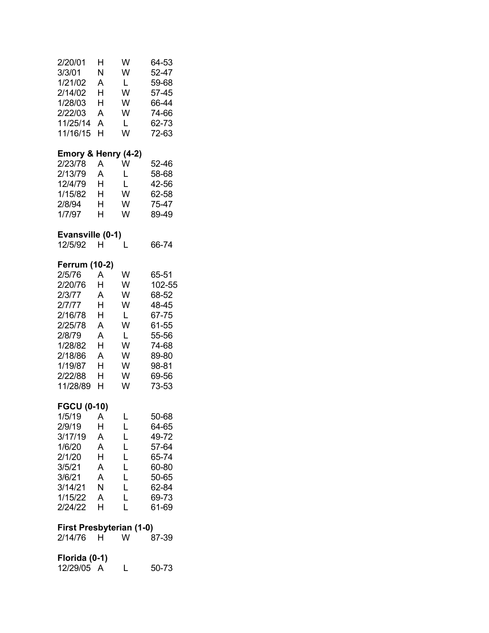| 2/20/01<br>3/3/01<br>1/21/02<br>2/14/02<br>1/28/03<br>2/22/03<br>11/25/14<br>11/16/15                                                                 | Н<br>N<br>A<br>H<br>Н<br>Α<br>A<br>H                      | W<br>W<br>L<br>W<br>W<br>W<br>L<br>W                     | 64-53<br>52-47<br>59-68<br>57-45<br>66-44<br>74-66<br>62-73<br>72-63                                      |
|-------------------------------------------------------------------------------------------------------------------------------------------------------|-----------------------------------------------------------|----------------------------------------------------------|-----------------------------------------------------------------------------------------------------------|
| Emory & Henry (4-2)<br>2/23/78<br>2/13/79<br>12/4/79<br>1/15/82<br>2/8/94<br>1/7/97<br>Evansville (0-1)                                               | A<br>A<br>H.<br>H<br>H.<br>H                              | W<br>Г<br>L<br>W<br>W<br>W                               | 52-46<br>58-68<br>42-56<br>62-58<br>75-47<br>89-49                                                        |
| 12/5/92                                                                                                                                               | H                                                         | L                                                        | 66-74                                                                                                     |
| <b>Ferrum (10-2)</b><br>2/5/76<br>2/20/76<br>2/3/77<br>2/7/77<br>2/16/78<br>2/25/78<br>2/8/79<br>1/28/82<br>2/18/86<br>1/19/87<br>2/22/88<br>11/28/89 | A<br>Н<br>A<br>H<br>Н<br>A<br>A<br>H<br>A<br>H.<br>H<br>H | W<br>W<br>W<br>W<br>L<br>W<br>L<br>W<br>W<br>W<br>W<br>W | 65-51<br>102-55<br>68-52<br>48-45<br>67-75<br>61-55<br>55-56<br>74-68<br>89-80<br>98-81<br>69-56<br>73-53 |
| <b>FGCU (0-10)</b><br>$1/5/19$ A<br>2/9/19<br>3/17/19<br>1/6/20<br>2/1/20<br>3/5/21<br>3/6/21<br>3/14/21<br>1/15/22<br>2/24/22                        | н<br>A<br>Α<br>н<br>A<br>A<br>N<br>A<br>н                 | L<br>L<br>L<br>L<br>L<br>L<br>L<br>L<br>L<br>L           | 50-68<br>64-65<br>49-72<br>57-64<br>65-74<br>60-80<br>50-65<br>62-84<br>69-73<br>61-69                    |
| First Presbyterian (1-0)<br>2/14/76                                                                                                                   | H.                                                        | W                                                        | 87-39                                                                                                     |
| Florida (0-1)                                                                                                                                         |                                                           |                                                          |                                                                                                           |

12/29/05 A L 50-73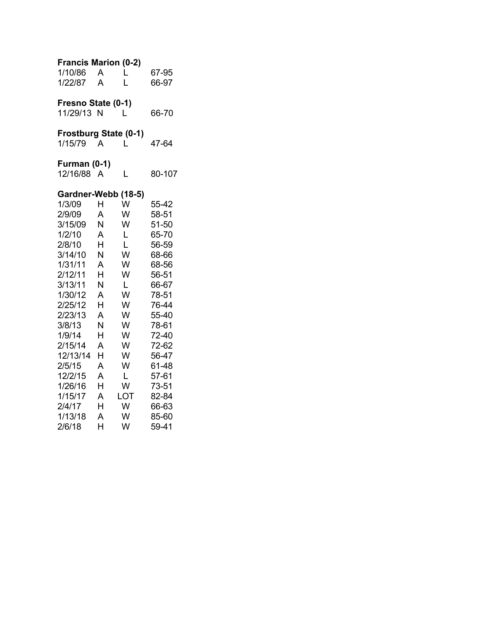| <b>Francis Marion (0-2)</b> |   |                              |        |
|-----------------------------|---|------------------------------|--------|
| 1/10/86                     | A | L                            | 67-95  |
| 1/22/87                     | A | L                            | 66-97  |
| Fresno State (0-1)          |   |                              |        |
| 11/29/13 N                  |   | L                            | 66-70  |
|                             |   | <b>Frostburg State (0-1)</b> |        |
| 1/15/79                     | A | L                            | 47-64  |
| Furman (0-1)                |   |                              |        |
| 12/16/88                    | A | L                            | 80-107 |
|                             |   | Gardner-Webb (18-5)          |        |
| 1/3/09                      | H | W                            | 55-42  |
| 2/9/09                      | А | W                            | 58-51  |
| 3/15/09                     | N | W                            | 51-50  |
| 1/2/10                      | A | L                            | 65-70  |
| 2/8/10                      | H | L                            | 56-59  |
| 3/14/10                     | N | W                            | 68-66  |
| 1/31/11                     | A | W                            | 68-56  |
| 2/12/11                     | н | W                            | 56-51  |
| 3/13/11                     | N | L                            | 66-67  |
| 1/30/12                     | A | W                            | 78-51  |
| 2/25/12                     | Н | W                            | 76-44  |
| 2/23/13                     | A | W                            | 55-40  |
| 3/8/13                      | Ν | W                            | 78-61  |
| 1/9/14                      | Н | W                            | 72-40  |
| 2/15/14                     | A | W                            | 72-62  |
| 12/13/14                    | H | W                            | 56-47  |
| 2/5/15                      | A | W                            | 61-48  |
| 12/2/15                     | A | L                            | 57-61  |
| 1/26/16                     | Н | W                            | 73-51  |
| 1/15/17                     | A | LOT                          | 82-84  |
| 2/4/17                      | H | W                            | 66-63  |
| 1/13/18                     | A | W                            | 85-60  |
| 2/6/18                      | H | W                            | 59-41  |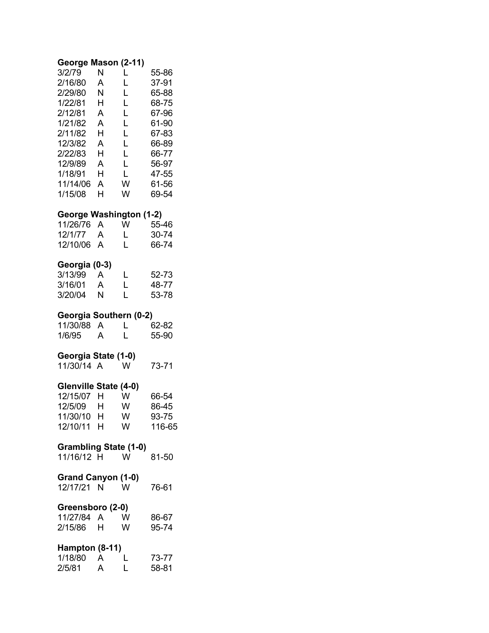## **George Mason (2-11)**

| 3/2/79   | N | L | 55-86 |
|----------|---|---|-------|
| 2/16/80  | А | L | 37-91 |
| 2/29/80  | N | L | 65-88 |
| 1/22/81  | н | L | 68-75 |
| 2/12/81  | А | L | 67-96 |
| 1/21/82  | А | L | 61-90 |
| 2/11/82  | н | L | 67-83 |
| 12/3/82  | А | L | 66-89 |
| 2/22/83  | н | L | 66-77 |
| 12/9/89  | А | L | 56-97 |
| 1/18/91  | н | L | 47-55 |
| 11/14/06 | А | w | 61-56 |
| 1/15/08  | н | w | 69-54 |

### **George Washington (1-2)**

| 11/26/76 A | w            | 55-46 |
|------------|--------------|-------|
| 12/1/77 A  | $\mathbf{L}$ | 30-74 |
| 12/10/06 A | L            | 66-74 |

## **Georgia (0-3)**

| 3/13/99 | A | L            | 52-73 |
|---------|---|--------------|-------|
| 3/16/01 | A | $\mathbf{L}$ | 48-77 |
| 3/20/04 | N | L            | 53-78 |

### **Georgia Southern (0-2)**

| 11/30/88 A |   | 62-82 |
|------------|---|-------|
| 1/6/95     | A | 55-90 |

### **Georgia State (1-0)**

| 11/30/14 A |  | W | 73-71 |
|------------|--|---|-------|
|------------|--|---|-------|

### **Glenville State (4-0)**

| 12/15/07 | н | w | 66-54  |
|----------|---|---|--------|
| 12/5/09  | H | w | 86-45  |
| 11/30/10 | н | w | 93-75  |
| 12/10/11 | н | w | 116-65 |

## **Grambling State (1-0)**

11/16/12 H W 81-50

### **Grand Canyon (1-0)**

| 12/17/21 N | W | 76-61 |
|------------|---|-------|
|            |   |       |

### **Greensboro (2-0)**

| 11/27/84 A |   | w | 86-67 |
|------------|---|---|-------|
| 2/15/86    | н | w | 95-74 |

## **Hampton (8-11)**

| 1/18/80 |   | 73-77 |
|---------|---|-------|
| 2/5/81  | A | 58-81 |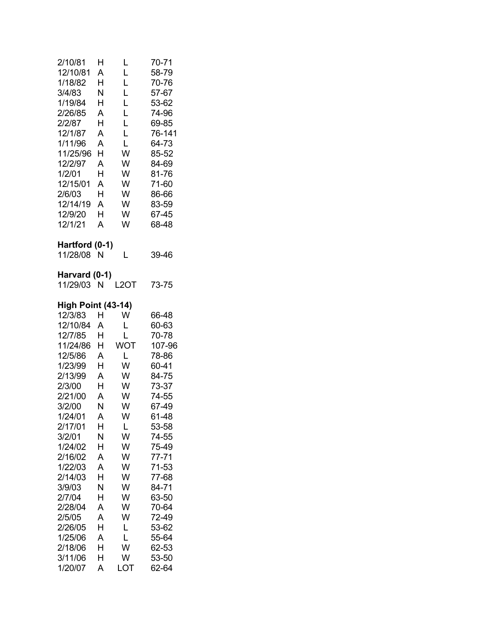| 2/10/81<br>12/10/81<br>1/18/82<br>3/4/83<br>1/19/84<br>2/26/85<br>2/2/87<br>12/1/87<br>1/11/96<br>11/25/96<br>12/2/97<br>1/2/01<br>12/15/01<br>2/6/03<br>12/14/19<br>12/9/20<br>12/1/21                                                                                                                             | H<br>A<br>Н<br>Ν<br>Н<br>Α<br>н<br>A<br>A<br>Н<br>A<br>H<br>A<br>H<br>A<br>н<br>A                                              | L<br>L<br>L<br>L<br>L<br>L<br>L<br>L<br>L<br>W<br>W<br>W<br>W<br>W<br>W<br>W<br>W                                                         | 70-71<br>58-79<br>70-76<br>57-67<br>53-62<br>74-96<br>69-85<br>76-141<br>64-73<br>85-52<br>84-69<br>81-76<br>71-60<br>86-66<br>83-59<br>67-45<br>68-48                                                                                  |
|---------------------------------------------------------------------------------------------------------------------------------------------------------------------------------------------------------------------------------------------------------------------------------------------------------------------|--------------------------------------------------------------------------------------------------------------------------------|-------------------------------------------------------------------------------------------------------------------------------------------|-----------------------------------------------------------------------------------------------------------------------------------------------------------------------------------------------------------------------------------------|
| Hartford (0-1)<br>11/28/08                                                                                                                                                                                                                                                                                          | N                                                                                                                              | L                                                                                                                                         | 39-46                                                                                                                                                                                                                                   |
| Harvard (0-1)<br>11/29/03                                                                                                                                                                                                                                                                                           | N                                                                                                                              | L2OT                                                                                                                                      | 73-75                                                                                                                                                                                                                                   |
| <b>High Point (43-14)</b><br>12/3/83<br>12/10/84<br>12/7/85<br>11/24/86<br>12/5/86<br>1/23/99<br>2/13/99<br>2/3/00<br>2/21/00<br>3/2/00<br>1/24/01<br>2/17/01<br>3/2/01<br>1/24/02<br>2/16/02<br>1/22/03<br>2/14/03<br>3/9/03<br>2/7/04<br>2/28/04<br>2/5/05<br>2/26/05<br>1/25/06<br>2/18/06<br>3/11/06<br>1/20/07 | н<br>Α<br>H<br>Н<br>Α<br>Н<br>A<br>Н<br>A<br>N<br>A<br>Н<br>Ν<br>Н<br>А<br>A<br>Н<br>N<br>Н<br>A<br>A<br>Н<br>A<br>H<br>Н<br>А | W<br>L<br>L<br><b>WOT</b><br>L<br>W<br>W<br>W<br>W<br>W<br>W<br>L<br>W<br>W<br>W<br>W<br>W<br>W<br>W<br>W<br>W<br>L<br>L<br>W<br>W<br>LOT | 66-48<br>60-63<br>70-78<br>107-96<br>78-86<br>60-41<br>84-75<br>73-37<br>74-55<br>67-49<br>61-48<br>53-58<br>74-55<br>75-49<br>77-71<br>71-53<br>77-68<br>84-71<br>63-50<br>70-64<br>72-49<br>53-62<br>55-64<br>62-53<br>53-50<br>62-64 |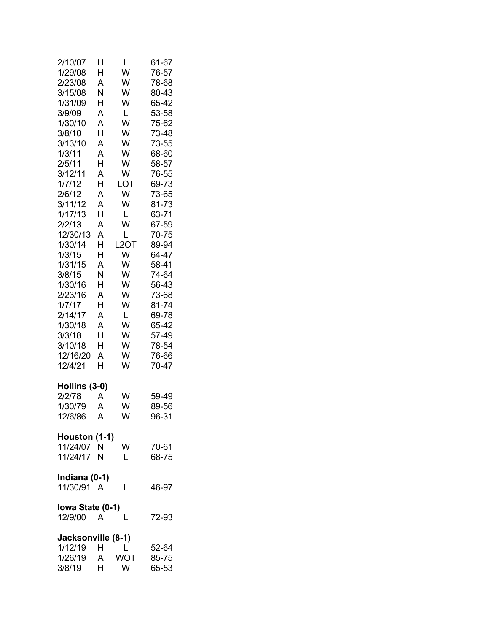| 2/10/07<br>1/29/08<br>2/23/08<br>3/15/08<br>1/31/09<br>3/9/09<br>1/30/10<br>3/8/10<br>3/13/10<br>1/3/11<br>2/5/11<br>3/12/11<br>1/7/12<br>2/6/12<br>3/11/12<br>1/17/13<br>2/2/13<br>12/30/13<br>1/30/14<br>1/3/15<br>1/31/15<br>3/8/15<br>1/30/16<br>2/23/16<br>1/7/17<br>2/14/17<br>1/30/18<br>3/3/18<br>3/10/18<br>12/16/20<br>12/4/21 | н<br>Н<br>A<br>N<br>Н<br>A<br>A<br>H<br>A<br>A<br>H<br>A<br>Н<br>A<br>A<br>H<br>A<br>A<br>H<br>Н<br>A<br>N<br>Н<br>A<br>H<br>A<br>A<br>H<br>H<br>A<br>H | L<br>W<br>W<br>W<br>W<br>L<br>W<br>W<br>W<br>W<br>W<br>W<br>LOT<br>W<br>W<br>L<br>W<br>Г<br>L <sub>2</sub> OT<br>W<br>W<br>W<br>W<br>W<br>W<br>L<br>W<br>W<br>W<br>W<br>W | 61-67<br>76-57<br>78-68<br>80-43<br>65-42<br>53-58<br>75-62<br>73-48<br>73-55<br>68-60<br>58-57<br>76-55<br>69-73<br>73-65<br>81-73<br>63-71<br>67-59<br>70-75<br>89-94<br>64-47<br>58-41<br>74-64<br>56-43<br>73-68<br>81-74<br>69-78<br>65-42<br>57-49<br>78-54<br>76-66<br>70-47 |
|------------------------------------------------------------------------------------------------------------------------------------------------------------------------------------------------------------------------------------------------------------------------------------------------------------------------------------------|---------------------------------------------------------------------------------------------------------------------------------------------------------|---------------------------------------------------------------------------------------------------------------------------------------------------------------------------|-------------------------------------------------------------------------------------------------------------------------------------------------------------------------------------------------------------------------------------------------------------------------------------|
| Hollins (3-0)                                                                                                                                                                                                                                                                                                                            |                                                                                                                                                         |                                                                                                                                                                           |                                                                                                                                                                                                                                                                                     |
| 2/2/78                                                                                                                                                                                                                                                                                                                                   | Α                                                                                                                                                       | W                                                                                                                                                                         | 59-49                                                                                                                                                                                                                                                                               |
| 1/30/79                                                                                                                                                                                                                                                                                                                                  | A                                                                                                                                                       | W                                                                                                                                                                         | 89-56                                                                                                                                                                                                                                                                               |
| 12/6/86                                                                                                                                                                                                                                                                                                                                  | $\overline{A}$                                                                                                                                          | W                                                                                                                                                                         | 96-31                                                                                                                                                                                                                                                                               |
| Houston (1-1)<br>11/24/07 N<br>11/24/17 N                                                                                                                                                                                                                                                                                                |                                                                                                                                                         | W<br>L                                                                                                                                                                    | 70-61<br>68-75                                                                                                                                                                                                                                                                      |
|                                                                                                                                                                                                                                                                                                                                          |                                                                                                                                                         |                                                                                                                                                                           |                                                                                                                                                                                                                                                                                     |
| Indiana (0-1)<br>11/30/91 A                                                                                                                                                                                                                                                                                                              |                                                                                                                                                         | L                                                                                                                                                                         | 46-97                                                                                                                                                                                                                                                                               |
|                                                                                                                                                                                                                                                                                                                                          |                                                                                                                                                         |                                                                                                                                                                           |                                                                                                                                                                                                                                                                                     |
| lowa State (0-1)                                                                                                                                                                                                                                                                                                                         |                                                                                                                                                         |                                                                                                                                                                           |                                                                                                                                                                                                                                                                                     |
| 12/9/00 A                                                                                                                                                                                                                                                                                                                                |                                                                                                                                                         | L                                                                                                                                                                         | 72-93                                                                                                                                                                                                                                                                               |
| Jacksonville (8-1)                                                                                                                                                                                                                                                                                                                       |                                                                                                                                                         |                                                                                                                                                                           |                                                                                                                                                                                                                                                                                     |
| 1/12/19 H                                                                                                                                                                                                                                                                                                                                |                                                                                                                                                         | $\mathsf{L}$                                                                                                                                                              | 52-64                                                                                                                                                                                                                                                                               |
| 1/26/19 A                                                                                                                                                                                                                                                                                                                                |                                                                                                                                                         | <b>WOT</b>                                                                                                                                                                | 85-75                                                                                                                                                                                                                                                                               |
| 3/8/19                                                                                                                                                                                                                                                                                                                                   | H                                                                                                                                                       | W                                                                                                                                                                         | 65-53                                                                                                                                                                                                                                                                               |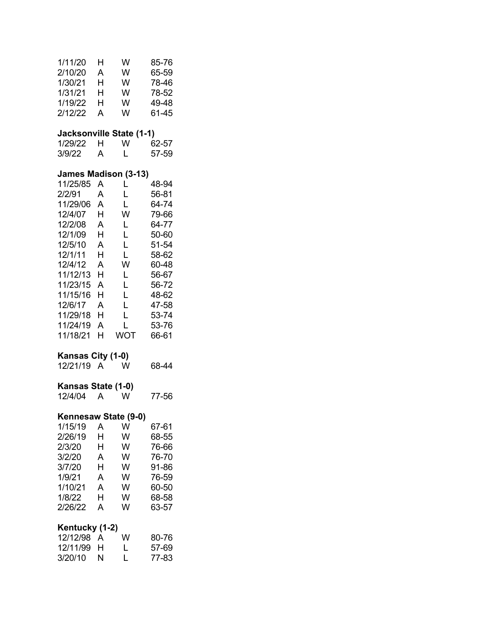| 1/11/20<br>2/10/20<br>1/30/21<br>1/31/21<br>1/19/22<br>2/12/22                                                                                                                                                     | н<br>Α<br>н<br>н<br>Н<br>A                                                   | W<br>W<br>W<br>W<br>W<br>W                                                            | 85-76<br>65-59<br>78-46<br>78-52<br>49-48<br>61-45                                                                                           |
|--------------------------------------------------------------------------------------------------------------------------------------------------------------------------------------------------------------------|------------------------------------------------------------------------------|---------------------------------------------------------------------------------------|----------------------------------------------------------------------------------------------------------------------------------------------|
| Jacksonville State (1-1)<br>1/29/22<br>3/9/22                                                                                                                                                                      | H<br>A                                                                       | W<br>L                                                                                | 62-57<br>57-59                                                                                                                               |
| <b>James Madison (3-13)</b><br>11/25/85<br>2/2/91<br>11/29/06<br>12/4/07<br>12/2/08<br>12/1/09<br>12/5/10<br>12/1/11<br>12/4/12<br>11/12/13<br>11/23/15<br>11/15/16<br>12/6/17<br>11/29/18<br>11/24/19<br>11/18/21 | A<br>A<br>A<br>H<br>A<br>H<br>A<br>H<br>A<br>H<br>A<br>Н<br>A<br>H<br>A<br>H | L<br>L<br>L<br>W<br>L<br>L<br>L<br>L<br>W<br>L<br>L<br>L<br>L<br>Ĺ<br>L<br><b>WOT</b> | 48-94<br>56-81<br>64-74<br>79-66<br>64-77<br>50-60<br>51-54<br>58-62<br>60-48<br>56-67<br>56-72<br>48-62<br>47-58<br>53-74<br>53-76<br>66-61 |
| Kansas City (1-0)<br>12/21/19 A                                                                                                                                                                                    |                                                                              | W                                                                                     | 68-44                                                                                                                                        |
| Kansas State (1-0)<br>12/4/04                                                                                                                                                                                      | $\overline{A}$                                                               | W                                                                                     | 77-56                                                                                                                                        |
| Kennesaw State (9-0)<br>1/15/19<br>2/26/19<br>2/3/20<br>3/2/20<br>3/7/20<br>1/9/21<br>1/10/21<br>1/8/22<br>2/26/22                                                                                                 | A<br>Η<br>Н<br>A<br>Н<br>A<br>A<br>Н<br>A                                    | W<br>W<br>W<br>W<br>W<br>W<br>W<br>W<br>W                                             | 67-61<br>68-55<br>76-66<br>76-70<br>91-86<br>76-59<br>60-50<br>68-58<br>63-57                                                                |
| Kentucky (1-2)<br>12/12/98<br>12/11/99<br>3/20/10                                                                                                                                                                  | A<br>Н<br>Ν                                                                  | W<br>Г<br>L                                                                           | 80-76<br>57-69<br>77-83                                                                                                                      |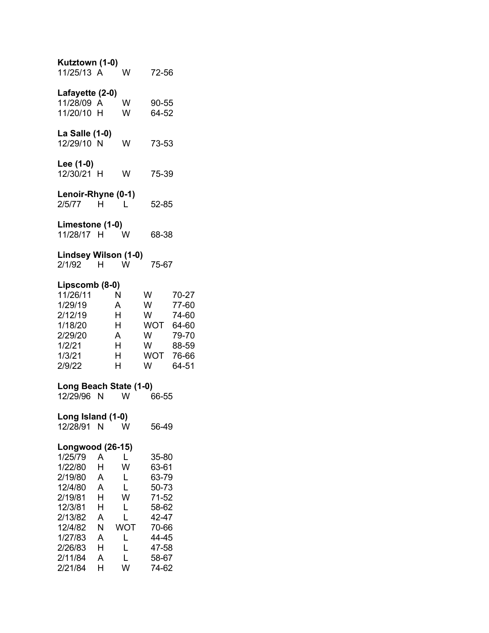| Kutztown (1-0)<br>11/25/13 A                                                                                                                                |                                                          |                                                             | 72-56                                                                                                    |                                                                      |
|-------------------------------------------------------------------------------------------------------------------------------------------------------------|----------------------------------------------------------|-------------------------------------------------------------|----------------------------------------------------------------------------------------------------------|----------------------------------------------------------------------|
| Lafayette (2-0)<br>11/28/09 A<br>11/20/10 H                                                                                                                 |                                                          | W<br>W                                                      | 90-55<br>64-52                                                                                           |                                                                      |
| La Salle (1-0)<br>12/29/10 N                                                                                                                                |                                                          | W                                                           | 73-53                                                                                                    |                                                                      |
| Lee (1-0)<br>12/30/21 H                                                                                                                                     |                                                          | W                                                           | 75-39                                                                                                    |                                                                      |
| Lenoir-Rhyne (0-1)<br>2/5/77                                                                                                                                | H.                                                       | L                                                           | 52-85                                                                                                    |                                                                      |
| Limestone (1-0)<br>11/28/17 H                                                                                                                               |                                                          | w                                                           | 68-38                                                                                                    |                                                                      |
| Lindsey Wilson (1-0)<br>2/1/92 H                                                                                                                            |                                                          | <b>W</b>                                                    | 75-67                                                                                                    |                                                                      |
| Lipscomb (8-0)<br>11/26/11<br>1/29/19<br>2/12/19<br>1/18/20<br>2/29/20<br>1/2/21<br>1/3/21<br>2/9/22                                                        |                                                          | N<br>A<br>H.<br>H<br>A<br>H.<br>H.<br>H                     | W<br>W<br>W<br><b>WOT</b><br>W<br><b>W</b><br>WOT<br>W                                                   | 70-27<br>77-60<br>74-60<br>64-60<br>79-70<br>88-59<br>76-66<br>64-51 |
| Long Beach State (1-0)<br>12/29/96 N                                                                                                                        |                                                          | W                                                           | 66-55                                                                                                    |                                                                      |
| Long Island (1-0)<br>12/28/91                                                                                                                               | N.                                                       | W                                                           | 56-49                                                                                                    |                                                                      |
| <b>Longwood (26-15)</b><br>1/25/79<br>1/22/80<br>2/19/80<br>12/4/80<br>2/19/81<br>12/3/81<br>2/13/82<br>12/4/82<br>1/27/83<br>2/26/83<br>2/11/84<br>2/21/84 | Α<br>Н<br>Α<br>Α<br>н<br>н<br>A<br>Ν<br>Α<br>н<br>A<br>H | L.<br>W<br>L<br>L<br>W<br>L<br>L<br>WOT<br>L<br>L<br>L<br>W | 35-80<br>63-61<br>63-79<br>50-73<br>71-52<br>58-62<br>42-47<br>70-66<br>44-45<br>47-58<br>58-67<br>74-62 |                                                                      |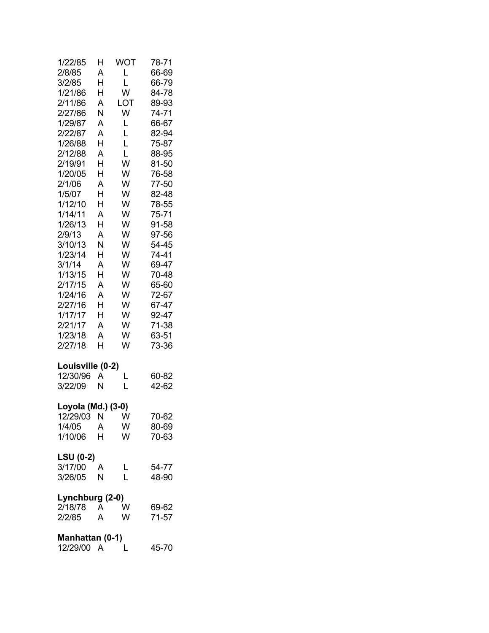| 1/22/85            | Н  | WOT | 78-71 |
|--------------------|----|-----|-------|
| 2/8/85             | А  | L   | 66-69 |
| 3/2/85             | H  | L   | 66-79 |
| 1/21/86            | Н  | W   | 84-78 |
| 2/11/86            | А  | LOT | 89-93 |
| 2/27/86            | N  | W   | 74-71 |
| 1/29/87            | A  | L   | 66-67 |
| 2/22/87            | A  | L   | 82-94 |
| 1/26/88            | H  | Ĺ   | 75-87 |
| 2/12/88            | A  | L   | 88-95 |
| 2/19/91            | H  | W   | 81-50 |
| 1/20/05            | Н  | W   | 76-58 |
| 2/1/06             | A  | W   | 77-50 |
| 1/5/07             | Н  | W   | 82-48 |
| 1/12/10            | Н  | W   | 78-55 |
| 1/14/11            | A  | W   | 75-71 |
| 1/26/13            | Н  | W   | 91-58 |
| 2/9/13             | A  | W   | 97-56 |
| 3/10/13            | N  | W   | 54-45 |
| 1/23/14            | Н  | W   | 74-41 |
| 3/1/14             | A  | W   | 69-47 |
| 1/13/15            | H  | W   | 70-48 |
| 2/17/15            | A  | W   | 65-60 |
| 1/24/16            | A  | W   | 72-67 |
| 2/27/16            | H  | W   | 67-47 |
| 1/17/17            | H  | W   | 92-47 |
| 2/21/17            | A  | W   | 71-38 |
| 1/23/18            | A  | W   | 63-51 |
| 2/27/18            | H  | W   | 73-36 |
| Louisville (0-2)   |    |     |       |
| 12/30/96           | Α  | L   | 60-82 |
| 3/22/09            | N  | Ĺ   | 42-62 |
| Loyola (Md.) (3-0) |    |     |       |
| 12/29/03 N W       |    |     | 70-62 |
| 1/4/05             | A  | W   | 80-69 |
| 1/10/06            | H. | W   | 70-63 |
| <b>LSU (0-2)</b>   |    |     |       |
| 3/17/00            | A  | L   | 54-77 |
| 3/26/05            | Ν  | L   | 48-90 |
| Lynchburg (2-0)    |    |     |       |
| 2/18/78 A          |    | W   | 69-62 |
| 2/2/85             | A  | W   | 71-57 |
| Manhattan (0-1)    |    |     |       |
| 12/29/00 A L       |    |     | 45-70 |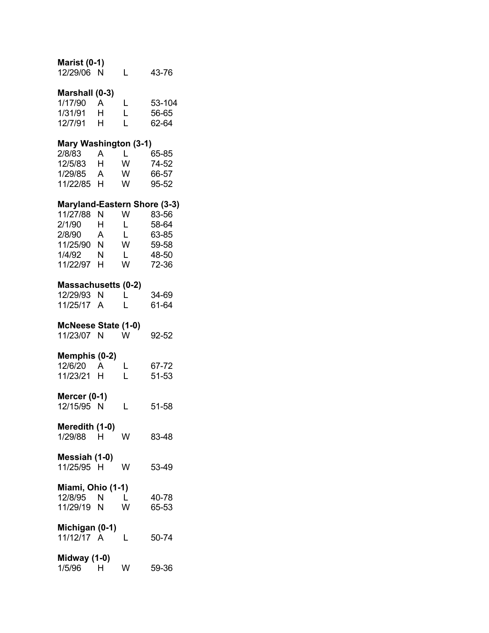| <b>Marist (0-1)</b><br>12/29/06<br>N                           | L           | 43-76                    |
|----------------------------------------------------------------|-------------|--------------------------|
| Marshall (0-3)<br>1/17/90<br>А<br>1/31/91<br>H<br>12/7/91<br>н | L<br>L<br>Ĺ | 53-104<br>56-65<br>62-64 |
| Mary Washington (3-1)                                          |             |                          |
| 2/8/83<br>A                                                    | L           | 65-85                    |
| 12/5/83<br>H<br>1/29/85                                        | W<br>W      | 74-52                    |
| A<br>11/22/85<br>H.                                            | W           | 66-57<br>95-52           |
| <b>Maryland-Eastern Shore (3-3)</b>                            |             |                          |
| 11/27/88<br>N                                                  | w           | 83-56                    |
| 2/1/90<br>H<br>2/8/90<br>A                                     | L<br>L      | 58-64<br>63-85           |
| 11/25/90 N                                                     | W           | 59-58                    |
| 1/4/92<br>N                                                    | L.          | 48-50                    |
| 11/22/97<br>H.                                                 | W           | 72-36                    |
| <b>Massachusetts (0-2)</b>                                     |             |                          |
| 12/29/93<br>N                                                  | L           | 34-69                    |
| 11/25/17<br>A                                                  | Ĺ           | 61-64                    |
| McNeese State (1-0)                                            |             |                          |
| 11/23/07<br>N                                                  | W           | 92-52                    |
| Memphis (0-2)                                                  |             |                          |
| 12/6/20<br>A<br>11/23/21<br>н                                  | L<br>Ĺ      | 67-72<br>51-53           |
|                                                                |             |                          |
| Mercer (0-1)<br>12/15/95<br>N                                  | L           | 51-58                    |
|                                                                |             |                          |
| Meredith (1-0)<br>1/29/88<br>H                                 | w           | 83-48                    |
|                                                                |             |                          |
| Messiah (1-0)<br>11/25/95 H                                    | w           | 53-49                    |
|                                                                |             |                          |
| Miami, Ohio (1-1)                                              |             |                          |
| 12/8/95<br>N.                                                  | L           | 40-78                    |
| 11/29/19 N                                                     | W           | 65-53                    |
| Michigan (0-1)                                                 |             |                          |
| 11/12/17 A                                                     | L           | 50-74                    |
| Midway (1-0)                                                   |             |                          |

| 1/5/96 | н | w | 59-36 |
|--------|---|---|-------|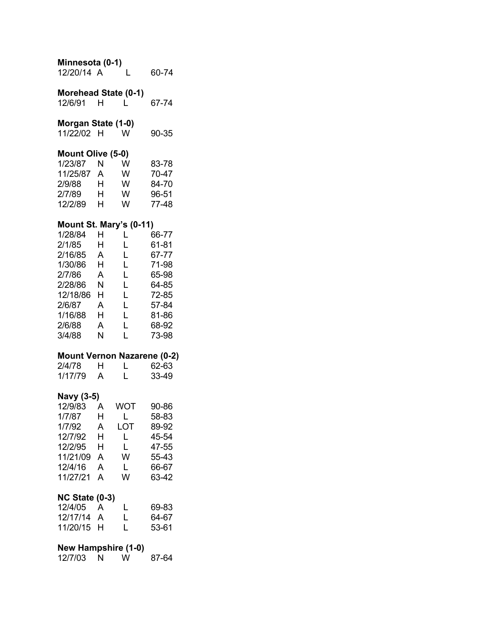| Minnesota (0-1)<br>12/20/14 A                                                                                                                    |                                                                                  | Ĺ                                                   | 60-74                                                                                           |
|--------------------------------------------------------------------------------------------------------------------------------------------------|----------------------------------------------------------------------------------|-----------------------------------------------------|-------------------------------------------------------------------------------------------------|
| Morehead State (0-1)<br>12/6/91                                                                                                                  | н                                                                                | L                                                   | 67-74                                                                                           |
| Morgan State (1-0)<br>11/22/02 H                                                                                                                 |                                                                                  | w                                                   | 90-35                                                                                           |
| Mount Olive (5-0)<br>1/23/87<br>11/25/87 A<br>2/9/88<br>2/7/89<br>12/2/89                                                                        | N<br>H<br>H<br>Н.                                                                | W<br>W<br>W<br>W<br>W                               | 83-78<br>70-47<br>84-70<br>96-51<br>77-48                                                       |
| Mount St. Mary's (0-11)<br>1/28/84<br>2/1/85<br>2/16/85<br>1/30/86<br>2/7/86<br>2/28/86<br>12/18/86 H<br>2/6/87<br>1/16/88 H<br>2/6/88<br>3/4/88 | н<br>H<br>$\overline{A}$<br>H<br>$\overline{A}$<br>N<br>$\overline{A}$<br>A<br>N | L<br>L<br>Г<br>L<br>L<br>L<br>L<br>L<br>L<br>L<br>L | 66-77<br>61-81<br>67-77<br>71-98<br>65-98<br>64-85<br>72-85<br>57-84<br>81-86<br>68-92<br>73-98 |
| <b>Mount Vernon Nazarene (0-2)</b><br>2/4/78<br>1/17/79                                                                                          | H<br>A                                                                           | L<br>L                                              | 62-63<br>33-49                                                                                  |
| Navy (3-5)<br>12/9/83<br>1/7/87<br>1/7/92<br>12/7/92<br>12/2/95<br>11/21/09<br>12/4/16<br>11/27/21                                               | A<br>Η<br>A<br>н<br>н<br>A<br>A<br>A                                             | <b>WOT</b><br>L<br>LOT<br>L<br>L<br>W<br>L<br>W     | 90-86<br>58-83<br>89-92<br>45-54<br>47-55<br>55-43<br>66-67<br>63-42                            |
| <b>NC State (0-3)</b><br>12/4/05<br>12/17/14<br>11/20/15                                                                                         | Α<br>A<br>H.                                                                     | L<br>L<br>L                                         | 69-83<br>64-67<br>53-61                                                                         |
| <b>New Hampshire (1-0)</b><br>12/7/03                                                                                                            | N                                                                                | W                                                   | 87-64                                                                                           |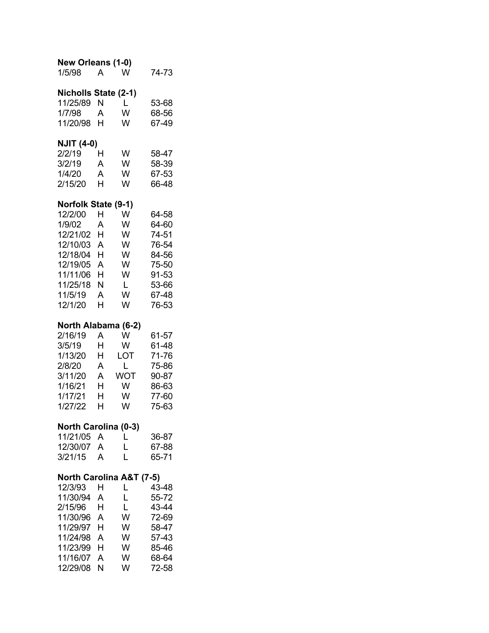| <b>New Orleans (1-0)</b><br>1/5/98                                                                                                     | A                                              | W                                               | 74-73                                                                                  |
|----------------------------------------------------------------------------------------------------------------------------------------|------------------------------------------------|-------------------------------------------------|----------------------------------------------------------------------------------------|
| Nicholls State (2-1)<br>11/25/89<br>1/7/98<br>11/20/98                                                                                 | N<br>A<br>н                                    | L<br>W<br>W                                     | 53-68<br>68-56<br>67-49                                                                |
| <b>NJIT (4-0)</b><br>2/2/19<br>3/2/19<br>1/4/20<br>2/15/20                                                                             | н<br>A<br>A<br>Н                               | W<br>W<br>W<br>W                                | 58-47<br>58-39<br>67-53<br>66-48                                                       |
| Norfolk State (9-1)<br>12/2/00<br>1/9/02<br>12/21/02<br>12/10/03<br>12/18/04<br>12/19/05<br>11/11/06<br>11/25/18<br>11/5/19<br>12/1/20 | Н<br>A<br>H<br>A<br>H<br>A<br>H<br>Ν<br>A<br>Н | W<br>W<br>W<br>W<br>W<br>W<br>W<br>L<br>W<br>W  | 64-58<br>64-60<br>74-51<br>76-54<br>84-56<br>75-50<br>91-53<br>53-66<br>67-48<br>76-53 |
| North Alabama (6-2)<br>2/16/19<br>3/5/19<br>1/13/20<br>2/8/20<br>3/11/20<br>1/16/21<br>1/17/21<br>1/27/22                              | A<br>H<br>H<br>Α<br>A<br>H<br>H<br>Н           | W<br>W<br>LOT<br>L<br><b>WOT</b><br>W<br>W<br>W | 61-57<br>61-48<br>71-76<br>75-86<br>90-87<br>86-63<br>77-60<br>75-63                   |
| <b>North Carolina (0-3)</b><br>11/21/05<br>12/30/07<br>3/21/15                                                                         | $\overline{A}$<br>A<br>A                       | L<br>L<br>L                                     | 36-87<br>67-88<br>65-71                                                                |
| North Carolina A&T (7-5)<br>12/3/93<br>11/30/94<br>2/15/96<br>11/30/96<br>11/29/97<br>11/24/98<br>11/23/99<br>11/16/07<br>12/29/08     | Н<br>A<br>H<br>Α<br>Н<br>A<br>H<br>A<br>N      | L<br>L<br>L<br>W<br>W<br>W<br>W<br>W<br>W       | 43-48<br>55-72<br>43-44<br>72-69<br>58-47<br>57-43<br>85-46<br>68-64<br>72-58          |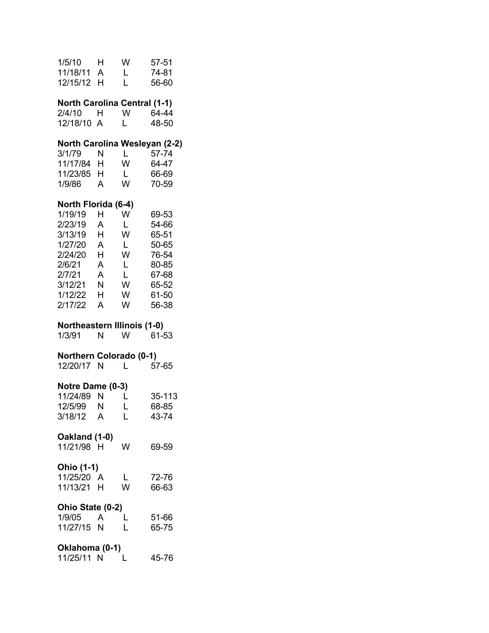| 1/5/10 H<br>11/18/11 A<br>12/15/12 H                                                                                                |                                                                           | W<br>L.<br>L                                     | 57-51<br>74-81<br>56-60                                                                |
|-------------------------------------------------------------------------------------------------------------------------------------|---------------------------------------------------------------------------|--------------------------------------------------|----------------------------------------------------------------------------------------|
| <b>North Carolina Central (1-1)</b><br>2/4/10<br>12/18/10 A                                                                         | H.                                                                        | W<br>L.                                          | 64-44<br>48-50                                                                         |
| 3/1/79<br>11/17/84 H<br>11/23/85 H<br>1/9/86                                                                                        | N<br>A                                                                    | $L =$<br>W<br>L.<br>W                            | North Carolina Wesleyan (2-2)<br>57-74<br>64-47<br>66-69<br>70-59                      |
| North Florida (6-4)<br>1/19/19<br>2/23/19 A<br>3/13/19 H<br>1/27/20<br>2/24/20<br>2/6/21<br>2/7/21<br>3/12/21<br>1/12/22<br>2/17/22 | H<br>$\overline{A}$<br>H<br>$\overline{A}$<br>$\mathsf{A}$<br>N<br>H<br>A | W<br>L.<br>W<br>L<br>W<br>L<br>L.<br>W<br>W<br>W | 69-53<br>54-66<br>65-51<br>50-65<br>76-54<br>80-85<br>67-68<br>65-52<br>61-50<br>56-38 |
| <b>Northeastern Illinois (1-0)</b>                                                                                                  |                                                                           |                                                  |                                                                                        |
| 1/3/91                                                                                                                              | N                                                                         | W l                                              | 61-53                                                                                  |
| <b>Northern Colorado (0-1)</b><br>12/20/17 N                                                                                        |                                                                           | L.                                               | 57-65                                                                                  |
| Notre Dame (0-3)<br>11/24/89<br>12/5/99<br>3/18/12                                                                                  | N<br>N<br>A                                                               | L<br>L<br>Ĺ                                      | 35-113<br>68-85<br>43-74                                                               |
| Oakland (1-0)<br>11/21/98 H                                                                                                         |                                                                           | w                                                | 69-59                                                                                  |
| <b>Ohio (1-1)</b><br>11/25/20 A<br>11/13/21 H                                                                                       |                                                                           | L.<br>W                                          | 72-76<br>66-63                                                                         |
| Ohio State (0-2)<br>1/9/05<br>11/27/15 N                                                                                            | <b>A</b>                                                                  | L<br>L                                           | 51-66<br>65-75                                                                         |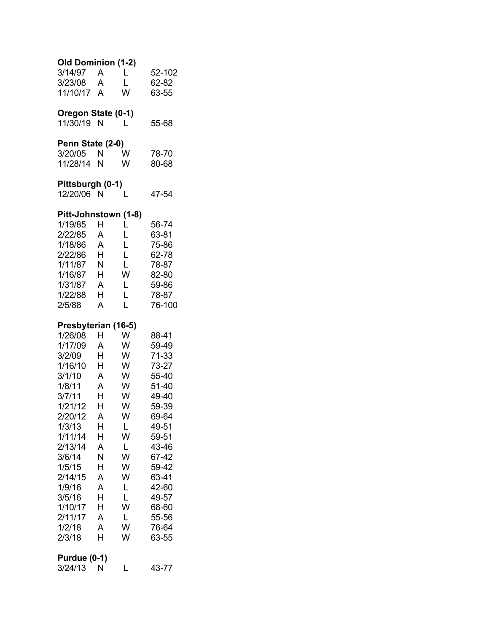| Old Dominion (1-2)<br>3/14/97<br>3/23/08<br>11/10/17 A                                                                 | $\overline{A}$<br>$\overline{A}$                    | L<br>L<br>W                                         | 52-102<br>62-82<br>63-55                                                                        |
|------------------------------------------------------------------------------------------------------------------------|-----------------------------------------------------|-----------------------------------------------------|-------------------------------------------------------------------------------------------------|
| Oregon State (0-1)<br>11/30/19 N                                                                                       |                                                     | L                                                   | 55-68                                                                                           |
| Penn State (2-0)<br>3/20/05<br>11/28/14                                                                                | N<br>N                                              | W<br>W                                              | 78-70<br>80-68                                                                                  |
| Pittsburgh (0-1)<br>12/20/06 N                                                                                         |                                                     | L                                                   | 47-54                                                                                           |
| Pitt-Johnstown (1-8)<br>1/19/85<br>2/22/85<br>1/18/86<br>2/22/86<br>1/11/87<br>1/16/87<br>1/31/87<br>1/22/88<br>2/5/88 | н<br>A<br>A<br>H<br>N<br>H<br>A<br>H<br>A           | L<br>L<br>L<br>Ĺ<br>L<br>W<br>L<br>L<br>L           | 56-74<br>63-81<br>75-86<br>62-78<br>78-87<br>82-80<br>59-86<br>78-87<br>76-100                  |
| Presbyterian (16-5)<br>1/26/08                                                                                         | н                                                   | W                                                   | 88-41                                                                                           |
| 1/17/09<br>3/2/09<br>1/16/10<br>3/1/10<br>1/8/11<br>3/7/11<br>1/21/12<br>2/20/12<br>1/3/13<br>1/11/14<br>2/13/14       | A<br>H.<br>н<br>A<br>A<br>H.<br>н<br>A<br>Η         | W<br>W<br>W<br>W<br>W<br>W<br>W<br>W<br>L           | 59-49<br>71-33<br>73-27<br>55-40<br>51-40<br>49-40<br>59-39<br>69-64<br>49-51                   |
| 3/6/14<br>1/5/15<br>2/14/15<br>1/9/16<br>3/5/16<br>1/10/17<br>2/11/17<br>1/2/18<br>2/3/18<br>Purdue (0-1)              | Н<br>A<br>Ν<br>Η<br>А<br>A<br>Η<br>н<br>Α<br>A<br>Н | W<br>L<br>W<br>W<br>W<br>L<br>L<br>W<br>L<br>W<br>W | 59-51<br>43-46<br>67-42<br>59-42<br>63-41<br>42-60<br>49-57<br>68-60<br>55-56<br>76-64<br>63-55 |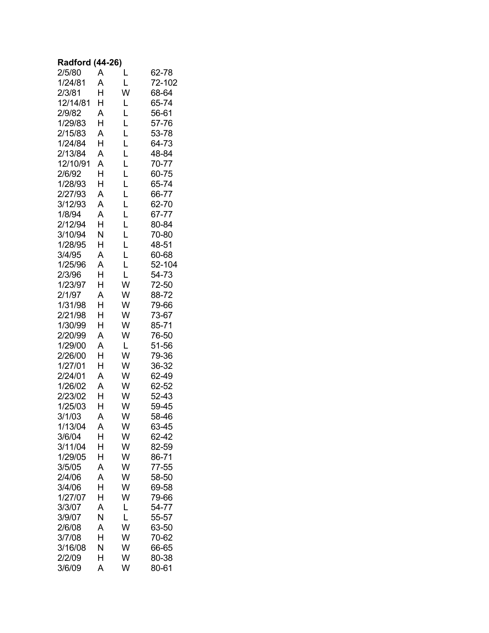### **Radford (44-26)**

| 2/5/80   | A      | L      | 62-78  |
|----------|--------|--------|--------|
| 1/24/81  | A      | L      | 72-102 |
| 2/3/81   | H      | W      | 68-64  |
| 12/14/81 | H      | L      | 65-74  |
| 2/9/82   | A      | Ĺ      | 56-61  |
| 1/29/83  | H      | L      | 57-76  |
| 2/15/83  | A      | Ĺ      | 53-78  |
| 1/24/84  | H      | Ĺ      | 64-73  |
| 2/13/84  | A      | L      | 48-84  |
| 12/10/91 | A      | L      | 70-77  |
| 2/6/92   | H      | L      | 60-75  |
| 1/28/93  | H      | L      | 65-74  |
| 2/27/93  | A      | Ĺ      | 66-77  |
| 3/12/93  | A      | Ĺ      | 62-70  |
| 1/8/94   | A      | L      | 67-77  |
| 2/12/94  | H      | L      | 80-84  |
| 3/10/94  | N      | L      | 70-80  |
| 1/28/95  | H      | L      | 48-51  |
| 3/4/95   | A      | L      | 60-68  |
| 1/25/96  | A      | L      | 52-104 |
| 2/3/96   | H      | L      | 54-73  |
| 1/23/97  | H      | W      | 72-50  |
| 2/1/97   | A      | W      | 88-72  |
| 1/31/98  | H      | W      | 79-66  |
| 2/21/98  | H      | W      | 73-67  |
| 1/30/99  | H      | W      | 85-71  |
| 2/20/99  | A      | W      | 76-50  |
| 1/29/00  | A      | L      | 51-56  |
| 2/26/00  | H      | W      | 79-36  |
| 1/27/01  | H      | W      | 36-32  |
| 2/24/01  | A      | W      | 62-49  |
| 1/26/02  | A      | W      | 62-52  |
| 2/23/02  | H      | W      | 52-43  |
| 1/25/03  | H      | W      | 59-45  |
| 3/1/03   | A      | W      | 58-46  |
| 1/13/04  | A      | W      | 63-45  |
| 3/6/04   | Н      | W      | 62-42  |
| 3/11/04  | Н      | W      | 82-59  |
| 1/29/05  | Н      | W      | 86-71  |
| 3/5/05   | A      | W      | 77-55  |
| 2/4/06   | A      | W      | 58-50  |
| 3/4/06   | Н      | W      | 69-58  |
| 1/27/07  | Н      | W      | 79-66  |
| 3/3/07   | A      | L      | 54-77  |
| 3/9/07   | Ν      | L      | 55-57  |
| 2/6/08   | A      | W      | 63-50  |
| 3/7/08   | Н      | W      | 70-62  |
| 3/16/08  | Ν<br>Н | W<br>W | 66-65  |
| 2/2/09   | A      | W      | 80-38  |
| 3/6/09   |        |        | 80-61  |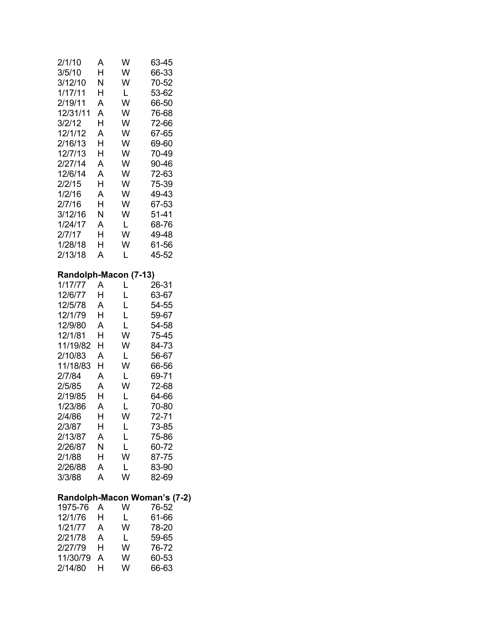| 2/1/10<br>3/5/10<br>3/12/10<br>1/17/11<br>2/19/11<br>12/31/11<br>3/2/12<br>12/1/12<br>2/16/13<br>12/7/13<br>2/27/14<br>12/6/14<br>2/2/15<br>1/2/16<br>2/7/16<br>3/12/16<br>1/24/17<br>2/7/17<br>1/28/18<br>2/13/18                            | А<br>Η<br>Ν<br>H<br>A<br>Α<br>н<br>A<br>H<br>Н<br>Α<br>A<br>Н<br>A<br>Н<br>Ν<br>Α<br>H<br>н<br>A  | W<br>W<br>W<br>L<br>W<br>W<br>W<br>W<br>W<br>W<br>W<br>W<br>W<br>W<br>W<br>W<br>L<br>W<br>W<br>L | 63-45<br>66-33<br>70-52<br>53-62<br>66-50<br>76-68<br>72-66<br>67-65<br>69-60<br>70-49<br>90-46<br>72-63<br>75-39<br>49-43<br>67-53<br>51-41<br>68-76<br>49-48<br>61-56<br>45-52 |  |
|-----------------------------------------------------------------------------------------------------------------------------------------------------------------------------------------------------------------------------------------------|---------------------------------------------------------------------------------------------------|--------------------------------------------------------------------------------------------------|----------------------------------------------------------------------------------------------------------------------------------------------------------------------------------|--|
| Randolph-Macon (7-13)<br>1/17/77<br>12/6/77<br>12/5/78<br>12/1/79<br>12/9/80<br>12/1/81<br>11/19/82<br>2/10/83<br>11/18/83<br>2/7/84<br>2/5/85<br>2/19/85<br>1/23/86<br>2/4/86<br>2/3/87<br>2/13/87<br>2/26/87<br>2/1/88<br>2/26/88<br>3/3/88 | Α<br>Н<br>Α<br>H<br>A<br>H.<br>Н<br>Α<br>Н<br>A<br>A<br>Н<br>Α<br>н<br>н<br>A<br>N<br>Н<br>A<br>A | L<br>L<br>L<br>L<br>L<br>W<br>W<br>L<br>W<br>L<br>W<br>L<br>L<br>w<br>L<br>L<br>L<br>W<br>L<br>W | 26-31<br>63-67<br>54-55<br>59-67<br>54-58<br>75-45<br>84-73<br>56-67<br>66-56<br>69-71<br>72-68<br>64-66<br>70-80<br>72-71<br>73-85<br>75-86<br>60-72<br>87-75<br>83-90<br>82-69 |  |
| 1975-76<br>12/1/76<br>1/21/77<br>2/21/78<br>2/27/79<br>11/30/79<br>2/14/80                                                                                                                                                                    | A<br>н<br>A<br>A<br>H<br>A<br>H                                                                   | W<br>L<br>W<br>L<br>W<br>W<br>W                                                                  | Randolph-Macon Woman's (7-2)<br>76-52<br>61-66<br>78-20<br>59-65<br>76-72<br>60-53<br>66-63                                                                                      |  |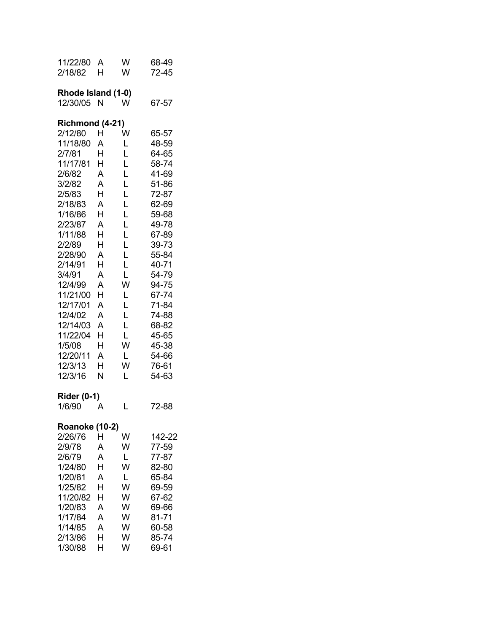| 11/22/80<br>2/18/82                                                                                                                                                                                                                                                                                       | A<br>н                                                                                                                    | W<br>W                                                                                                                    | 68-49<br>72-45                                                                                                                                                                                                                |
|-----------------------------------------------------------------------------------------------------------------------------------------------------------------------------------------------------------------------------------------------------------------------------------------------------------|---------------------------------------------------------------------------------------------------------------------------|---------------------------------------------------------------------------------------------------------------------------|-------------------------------------------------------------------------------------------------------------------------------------------------------------------------------------------------------------------------------|
| Rhode Island (1-0)<br>12/30/05                                                                                                                                                                                                                                                                            | N                                                                                                                         | W                                                                                                                         | 67-57                                                                                                                                                                                                                         |
| <b>Richmond (4-21)</b><br>2/12/80<br>11/18/80<br>2/7/81<br>11/17/81<br>2/6/82<br>3/2/82<br>2/5/83<br>2/18/83<br>1/16/86<br>2/23/87<br>1/11/88<br>2/2/89<br>2/28/90<br>2/14/91<br>3/4/91<br>12/4/99<br>11/21/00<br>12/17/01<br>12/4/02<br>12/14/03<br>11/22/04<br>1/5/08<br>12/20/11<br>12/3/13<br>12/3/16 | н<br>A<br>H<br>Н<br>A<br>A<br>н<br>A<br>Н<br>A<br>H<br>Н<br>A<br>н<br>A<br>A<br>н<br>A<br>A<br>A<br>Н<br>Н<br>A<br>Н<br>N | W<br>L<br>L<br>L<br>L<br>L<br>L<br>Ĺ<br>Ĺ<br>Ĺ<br>Ĺ<br>Ĺ<br>L<br>L<br>L<br>W<br>L<br>Ĺ<br>Ĺ<br>L<br>L<br>W<br>L<br>W<br>L | 65-57<br>48-59<br>64-65<br>58-74<br>41-69<br>51-86<br>72-87<br>62-69<br>59-68<br>49-78<br>67-89<br>39-73<br>55-84<br>40-71<br>54-79<br>94-75<br>67-74<br>71-84<br>74-88<br>68-82<br>45-65<br>45-38<br>54-66<br>76-61<br>54-63 |
| <b>Rider (0-1)</b><br>1/6/90                                                                                                                                                                                                                                                                              | А                                                                                                                         | L                                                                                                                         | 72-88                                                                                                                                                                                                                         |
| <b>Roanoke (10-2)</b><br>2/26/76<br>2/9/78<br>2/6/79<br>1/24/80<br>1/20/81<br>1/25/82<br>11/20/82<br>1/20/83<br>1/17/84<br>1/14/85<br>2/13/86<br>1/30/88                                                                                                                                                  | н<br>A<br>A<br>н<br>A<br>Н<br>н<br>A<br>A<br>A<br>н<br>Н                                                                  | W<br>W<br>L<br>W<br>L<br>W<br>W<br>W<br>W<br>W<br>W<br>W                                                                  | 142-22<br>77-59<br>77-87<br>82-80<br>65-84<br>69-59<br>67-62<br>69-66<br>81-71<br>60-58<br>85-74<br>69-61                                                                                                                     |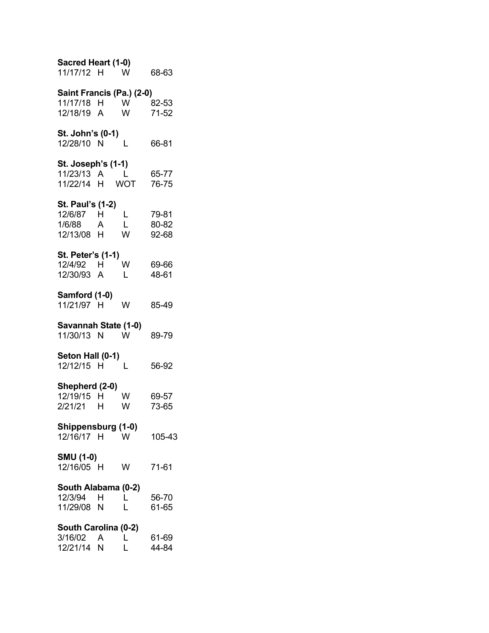| Sacred Heart (1-0)<br>11/17/12 H W                    |              |               | 68-63                   |
|-------------------------------------------------------|--------------|---------------|-------------------------|
| Saint Francis (Pa.) (2-0)<br>11/17/18 H<br>12/18/19 A |              | <b>W</b><br>W | 82-53<br>71-52          |
| St. John's (0-1)<br>12/28/10 N                        |              | L             | 66-81                   |
| St. Joseph's (1-1)<br>11/23/13 A<br>11/22/14 H WOT    | $\mathbf{L}$ |               | 65-77<br>76-75          |
| St. Paul's (1-2)<br>12/6/87 H<br>1/6/88<br>12/13/08 H | A            | L<br>L<br>W   | 79-81<br>80-82<br>92-68 |
| <b>St. Peter's (1-1)</b><br>12/4/92 H<br>12/30/93 A   |              | W<br>L        | 69-66<br>48-61          |
| Samford (1-0)<br>11/21/97 H                           |              | W             | 85-49                   |
| Savannah State (1-0)<br>11/30/13 N W                  |              |               | 89-79                   |
| Seton Hall (0-1)<br>12/12/15 H                        |              | L             | 56-92                   |
| Shepherd (2-0)<br>12/19/15 H<br>2/21/21 H             |              | W<br>W        | 69-57<br>73-65          |
| Shippensburg (1-0)<br>12/16/17 H                      |              | W             | 105-43                  |
| <b>SMU (1-0)</b><br>12/16/05 H                        |              | W             | 71-61                   |
| South Alabama (0-2)<br>12/3/94<br>11/29/08 N          | H            | L<br>L        | 56-70<br>61-65          |
| South Carolina (0-2)<br>3/16/02<br>12/21/14           | A<br>N       | L<br>Ĺ        | 61-69<br>44-84          |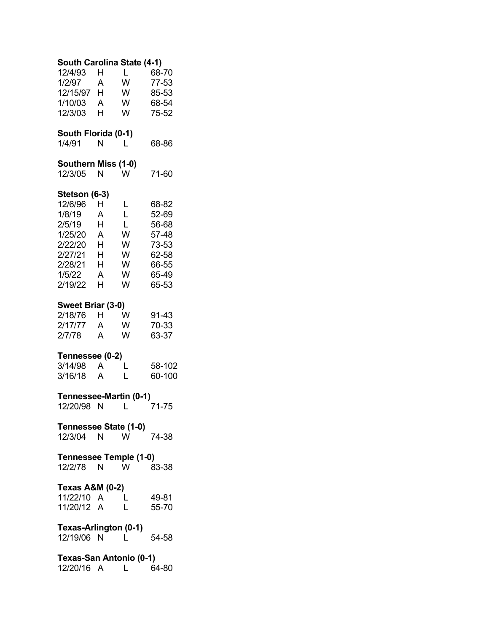| South Carolina State (4-1) |   |          |        |  |
|----------------------------|---|----------|--------|--|
| 12/4/93                    | н | L        | 68-70  |  |
| 1/2/97                     | A | W        | 77-53  |  |
| 12/15/97                   | H | W        | 85-53  |  |
| 1/10/03                    | A | W        | 68-54  |  |
| 12/3/03                    | н | W        | 75-52  |  |
|                            |   |          |        |  |
| South Florida (0-1)        |   |          |        |  |
| 1/4/91                     | Ν | L        | 68-86  |  |
| Southern Miss (1-0)        |   |          |        |  |
| 12/3/05                    | N | W        | 71-60  |  |
|                            |   |          |        |  |
| Stetson (6-3)              |   |          |        |  |
| 12/6/96                    | н | L        | 68-82  |  |
| 1/8/19                     | A | Ĺ        | 52-69  |  |
| 2/5/19                     | H | L        | 56-68  |  |
| 1/25/20                    | A | W        | 57-48  |  |
| 2/22/20                    | H | W        | 73-53  |  |
| 2/27/21                    | Н | W        | 62-58  |  |
| 2/28/21                    | Н | W        | 66-55  |  |
| 1/5/22                     | A | W        | 65-49  |  |
| 2/19/22                    | H | W        | 65-53  |  |
| Sweet Briar (3-0)          |   |          |        |  |
| 2/18/76                    | H | W        | 91-43  |  |
| 2/17/77                    | A | W        | 70-33  |  |
| 2/7/78                     | A | W        | 63-37  |  |
|                            |   |          |        |  |
| Tennessee (0-2)            |   |          |        |  |
| 3/14/98                    | A | L        | 58-102 |  |
| 3/16/18                    | A | L        | 60-100 |  |
|                            |   |          |        |  |
| Tennessee-Martin (0-1)     |   |          | 71-75  |  |
| 12/20/98                   | N | L        |        |  |
| Tennessee State (1-0)      |   |          |        |  |
| 12/3/04 N                  |   | W        | 74-38  |  |
|                            |   |          |        |  |
| Tennessee Temple (1-0)     |   |          |        |  |
| 12/2/78 N                  |   | <b>W</b> | 83-38  |  |
| <b>Texas A&amp;M (0-2)</b> |   |          |        |  |
| 11/22/10 A                 |   | L        | 49-81  |  |
| 11/20/12 A                 |   | Ĺ        | 55-70  |  |
|                            |   |          |        |  |
| Texas-Arlington (0-1)      |   |          |        |  |
| 12/19/06 N                 |   | L        | 54-58  |  |
|                            |   |          |        |  |
| Texas-San Antonio (0-1)    |   |          |        |  |
| 12/20/16 A                 |   | L        | 64-80  |  |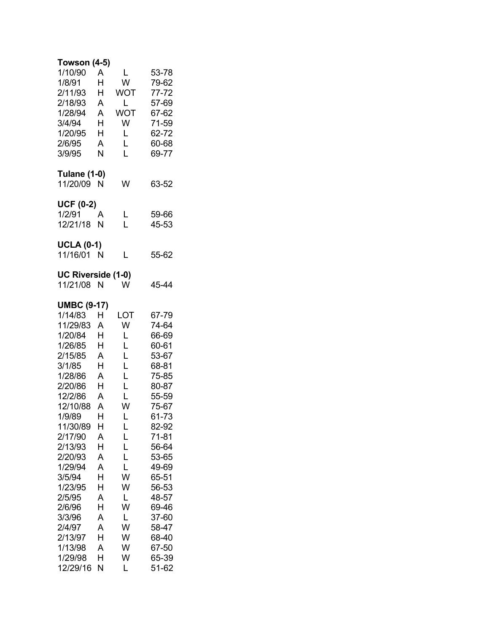| <b>Towson (4-5)</b><br>1/10/90<br>1/8/91<br>2/11/93<br>2/18/93<br>1/28/94<br>3/4/94<br>1/20/95<br>2/6/95<br>3/9/95                                                                                                                                                                                            | A<br>H<br>Н<br>Α<br>A<br>H<br>H<br>Α<br>N                                                                                      | L<br>W<br>WOT<br>Г<br><b>WOT</b><br>W<br>L<br>L<br>L                                                                             | 53-78<br>79-62<br>77-72<br>57-69<br>67-62<br>71-59<br>62-72<br>60-68<br>69-77                                                                                                                                                              |
|---------------------------------------------------------------------------------------------------------------------------------------------------------------------------------------------------------------------------------------------------------------------------------------------------------------|--------------------------------------------------------------------------------------------------------------------------------|----------------------------------------------------------------------------------------------------------------------------------|--------------------------------------------------------------------------------------------------------------------------------------------------------------------------------------------------------------------------------------------|
| <b>Tulane (1-0)</b><br>11/20/09                                                                                                                                                                                                                                                                               | N                                                                                                                              | W                                                                                                                                | 63-52                                                                                                                                                                                                                                      |
| <b>UCF (0-2)</b><br>1/2/91<br>12/21/18                                                                                                                                                                                                                                                                        | А<br>N                                                                                                                         | L<br>Ĺ                                                                                                                           | 59-66<br>45-53                                                                                                                                                                                                                             |
| <b>UCLA (0-1)</b><br>11/16/01 N                                                                                                                                                                                                                                                                               |                                                                                                                                | L                                                                                                                                | 55-62                                                                                                                                                                                                                                      |
| UC Riverside (1-0)<br>11/21/08                                                                                                                                                                                                                                                                                | N                                                                                                                              | W                                                                                                                                | 45-44                                                                                                                                                                                                                                      |
| <b>UMBC (9-17)</b><br>1/14/83<br>11/29/83<br>1/20/84<br>1/26/85<br>2/15/85<br>3/1/85<br>1/28/86<br>2/20/86<br>12/2/86<br>12/10/88<br>1/9/89<br>11/30/89<br>2/17/90<br>2/13/93<br>2/20/93<br>1/29/94<br>3/5/94<br>1/23/95<br>2/5/95<br>2/6/96<br>3/3/96<br>2/4/97<br>2/13/97<br>1/13/98<br>1/29/98<br>12/29/16 | Н<br>A<br>н<br>H<br>Α<br>H<br>A<br>H<br>A<br>Α<br>H<br>Н<br>A<br>Н<br>A<br>A<br>H<br>Н<br>A<br>H<br>A<br>A<br>H<br>A<br>H<br>N | LOT<br>W<br>L<br>L<br>L<br>L<br>L<br>L<br>L<br>W<br>L<br>L<br>L<br>L<br>L<br>L<br>W<br>W<br>L<br>W<br>L<br>W<br>W<br>W<br>W<br>L | 67-79<br>74-64<br>66-69<br>60-61<br>53-67<br>68-81<br>75-85<br>80-87<br>55-59<br>75-67<br>61-73<br>82-92<br>$71 - 81$<br>56-64<br>53-65<br>49-69<br>65-51<br>56-53<br>48-57<br>69-46<br>37-60<br>58-47<br>68-40<br>67-50<br>65-39<br>51-62 |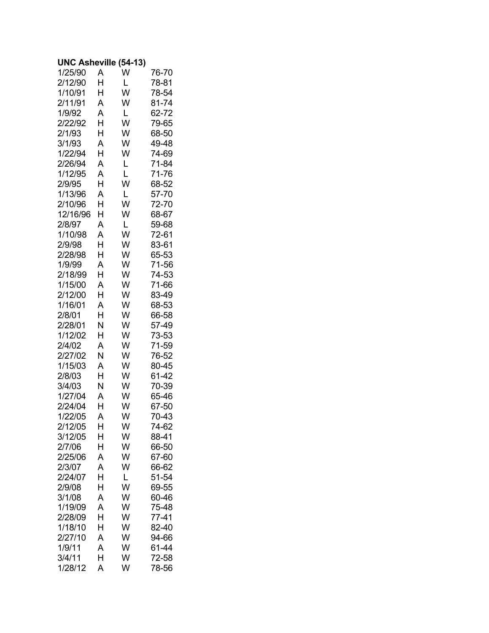#### **UNC Asheville (54-13)**

| 1/25/90           | A      | W      | 76-70          |
|-------------------|--------|--------|----------------|
| 2/12/90           | H      | L      | 78-81          |
| 1/10/91           | H      | W      | 78-54          |
| 2/11/91           | A      | W      | 81-74          |
| 1/9/92            | A      | L      | 62-72          |
| 2/22/92           | H      | W      | 79-65          |
| 2/1/93            | H      | W      | 68-50          |
| 3/1/93            | A      | W      | 49-48          |
| 1/22/94           | H      | W      | 74-69          |
| 2/26/94           | A      | L      | 71-84          |
| 1/12/95           | A      | L      | 71-76          |
| 2/9/95            | H      | W      | 68-52          |
| 1/13/96           | A      | L      | 57-70          |
| 2/10/96           | H      | W      | 72-70          |
| 12/16/96          | Н      | W      | 68-67          |
| 2/8/97            | A      | L      | 59-68          |
| 1/10/98<br>2/9/98 | A      | W      | 72-61          |
| 2/28/98           | H<br>H | W<br>W | 83-61          |
| 1/9/99            | A      | W      | 65-53<br>71-56 |
| 2/18/99           | H      | W      | 74-53          |
| 1/15/00           | A      | W      | 71-66          |
| 2/12/00           | H      | W      | 83-49          |
| 1/16/01           | A      | W      | 68-53          |
| 2/8/01            | H      | W      | 66-58          |
| 2/28/01           | N      | W      | 57-49          |
| 1/12/02           | H      | W      | 73-53          |
| 2/4/02            | A      | W      | 71-59          |
| 2/27/02           | N      | W      | 76-52          |
| 1/15/03           | A      | W      | 80-45          |
| 2/8/03            | H      | W      | 61-42          |
| 3/4/03            | N      | W      | 70-39          |
| 1/27/04           | A      | W      | 65-46          |
| 2/24/04           | H      | W      | 67-50          |
| 1/22/05           | A      | W      | 70-43          |
| 2/12/05           | Н      | W      | 74-62          |
| 3/12/05           | Н      | W      | 88-41          |
| 2/7/06            | Н      | W      | 66-50          |
| 2/25/06           | A      | W      | 67-60          |
| 2/3/07            | A      | W      | 66-62          |
| 2/24/07           | Н      | L      | 51-54          |
| 2/9/08            | Н      | W      | 69-55          |
| 3/1/08<br>1/19/09 | A<br>A | W<br>W | 60-46          |
| 2/28/09           | H      | W      | 75-48<br>77-41 |
| 1/18/10           | Н      | W      | 82-40          |
| 2/27/10           | A      | W      | 94-66          |
| 1/9/11            | A      | W      | 61-44          |
| 3/4/11            | Н      | W      | 72-58          |
| 1/28/12           | A      | W      | 78-56          |
|                   |        |        |                |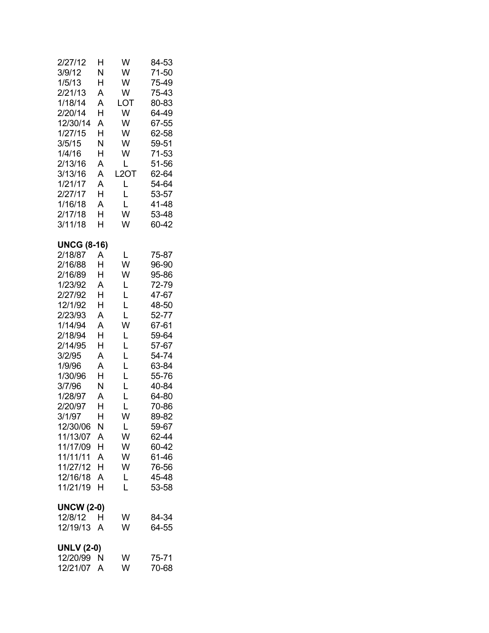| 2/27/12<br>3/9/12<br>1/5/13<br>2/21/13<br>1/18/14<br>2/20/14<br>12/30/14<br>1/27/15<br>3/5/15<br>1/4/16<br>2/13/16<br>3/13/16<br>1/21/17<br>2/27/17<br>1/16/18<br>2/17/18<br>3/11/18                                                                                                          | H<br>Ν<br>Н<br>A<br>A<br>H<br>A<br>Н<br>Ν<br>H<br>A<br>A<br>A<br>H<br>A<br>H<br>H                                    | W<br>W<br>W<br>W<br>LOT<br>W<br>W<br>W<br>W<br>W<br>Г<br>L <sub>2</sub> OT<br>L<br>L<br>L<br>W<br>W                  | 84-53<br>71-50<br>75-49<br>75-43<br>80-83<br>64-49<br>67-55<br>62-58<br>59-51<br>71-53<br>51-56<br>62-64<br>54-64<br>53-57<br>41-48<br>53-48<br>60-42                                                                |
|-----------------------------------------------------------------------------------------------------------------------------------------------------------------------------------------------------------------------------------------------------------------------------------------------|----------------------------------------------------------------------------------------------------------------------|----------------------------------------------------------------------------------------------------------------------|----------------------------------------------------------------------------------------------------------------------------------------------------------------------------------------------------------------------|
| <b>UNCG (8-16)</b><br>2/18/87<br>2/16/88<br>2/16/89<br>1/23/92<br>2/27/92<br>12/1/92<br>2/23/93<br>1/14/94<br>2/18/94<br>2/14/95<br>3/2/95<br>1/9/96<br>1/30/96<br>3/7/96<br>1/28/97<br>2/20/97<br>3/1/97<br>12/30/06<br>11/13/07<br>11/17/09<br>11/11/11<br>11/27/12<br>12/16/18<br>11/21/19 | A<br>H<br>H<br>A<br>Н<br>H<br>A<br>A<br>H<br>H<br>A<br>A<br>H<br>N<br>A<br>H<br>Н<br>Ν<br>A<br>H<br>A<br>н<br>A<br>H | L<br>W<br>W<br>L<br>L<br>L<br>L<br>W<br>L<br>L<br>L<br>L<br>L<br>L<br>L<br>Ĺ<br>W<br>L<br>W<br>W<br>W<br>W<br>L<br>L | 75-87<br>96-90<br>95-86<br>72-79<br>47-67<br>48-50<br>52-77<br>67-61<br>59-64<br>57-67<br>54-74<br>63-84<br>55-76<br>40-84<br>64-80<br>70-86<br>89-82<br>59-67<br>62-44<br>60-42<br>61-46<br>76-56<br>45-48<br>53-58 |
| <b>UNCW (2-0)</b><br>12/8/12<br>12/19/13                                                                                                                                                                                                                                                      | H<br>A                                                                                                               | W<br>W                                                                                                               | 84-34<br>64-55                                                                                                                                                                                                       |
| <b>UNLV</b> (2-0)<br>12/20/99<br>12/21/07                                                                                                                                                                                                                                                     | N<br>Α                                                                                                               | W<br>W                                                                                                               | 75-71<br>70-68                                                                                                                                                                                                       |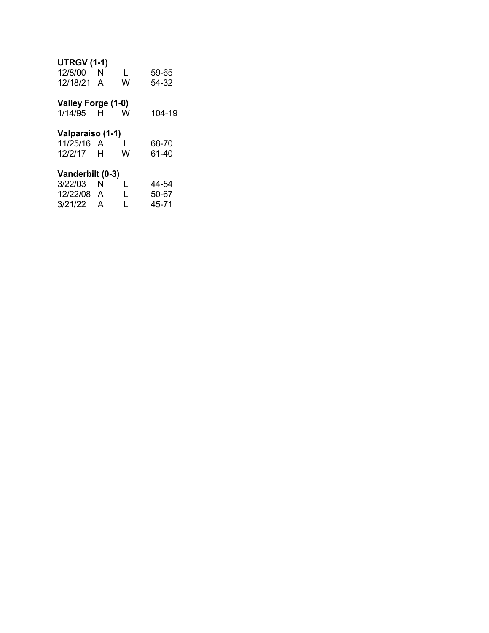## **UTRGV (1-1)**

| 12/8/00<br>12/18/21                       | N<br>A | L<br>W | 59-65<br>54-32 |  |  |
|-------------------------------------------|--------|--------|----------------|--|--|
| Valley Forge (1-0)<br>1/14/95 H           |        | W      | 104-19         |  |  |
| Valparaiso (1-1)<br>11/25/16 A<br>12/2/17 | - H    | L<br>W | 68-70<br>61-40 |  |  |
| Vanderbilt (0-3)                          |        |        |                |  |  |
| 3/22/03                                   | N      | L      | 44-54          |  |  |
| 12/22/08                                  | A      | L      | 50-67          |  |  |
| 3/21/22                                   | A      | L      | 45-71          |  |  |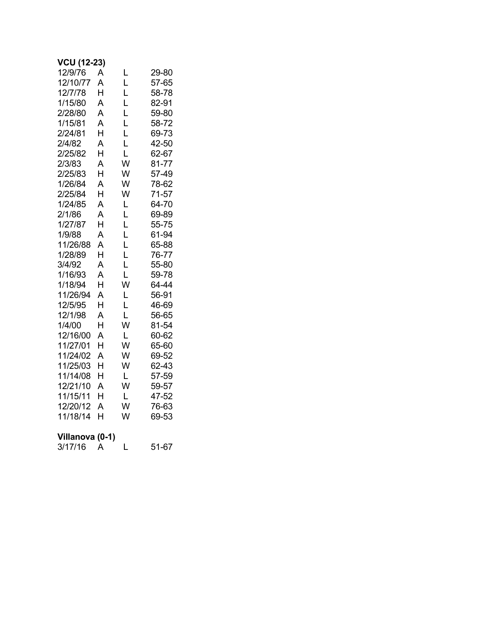| <b>VCU (12-23)</b>  |   |      |       |
|---------------------|---|------|-------|
| 12/9/76             | A | L    | 29-80 |
| 12/10/77            | A | L    | 57-65 |
| 12/7/78             | H | Ĺ    | 58-78 |
| 1/15/80             | A | L    | 82-91 |
| 2/28/80             | A | Ĺ    | 59-80 |
| 1/15/81             | A | L    | 58-72 |
| 2/24/81             | H | Ĺ    | 69-73 |
| 2/4/82              | A | L    | 42-50 |
| 2/25/82             | H | L    | 62-67 |
| 2/3/83              | A | W    | 81-77 |
| 2/25/83             | H | W    | 57-49 |
| 1/26/84             | A | W    | 78-62 |
| 2/25/84             | H | W    | 71-57 |
| 1/24/85             | A | L    | 64-70 |
| 2/1/86              | A | L    | 69-89 |
| 1/27/87             | H | Ĺ    | 55-75 |
| 1/9/88              | A | Ĺ    | 61-94 |
| 11/26/88            | A | Ĺ    | 65-88 |
| 1/28/89             | H | Ĺ    | 76-77 |
| 3/4/92              | A | Ĺ    | 55-80 |
| 1/16/93             | A | L    | 59-78 |
| 1/18/94             | H | W    | 64-44 |
| 11/26/94            | A | L    | 56-91 |
| 12/5/95             | H | Ĺ    | 46-69 |
| 12/1/98             | A | L    | 56-65 |
| 1/4/00              | H | W    | 81-54 |
| 12/16/00            | A | L    | 60-62 |
| 11/27/01            | H | W    | 65-60 |
| 11/24/02            | A | W    | 69-52 |
| 11/25/03            | H | W    | 62-43 |
| 11/14/08            | H | L    | 57-59 |
| 12/21/10            | A | W    | 59-57 |
| 11/15/11            | H | L    | 47-52 |
| 12/20/12            | A | W    | 76-63 |
| 11/18/14            | H | W    | 69-53 |
| Villano<br>- פ<br>ν | m | .4 Y |       |

| VIIIdIIUVA (U-T) |  |       |
|------------------|--|-------|
| 3/17/16          |  | 51-67 |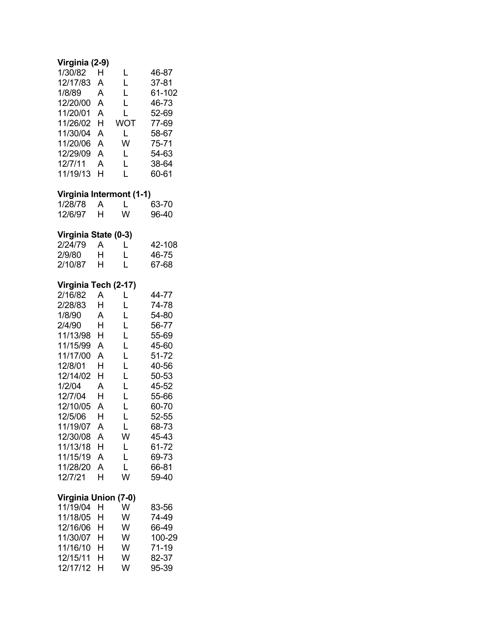# **Virginia (2-9)**

| 1/30/82  | н | L   | 46-87  |
|----------|---|-----|--------|
| 12/17/83 | А | L   | 37-81  |
| 1/8/89   | A | L   | 61-102 |
| 12/20/00 | A | L   | 46-73  |
| 11/20/01 | A | L   | 52-69  |
| 11/26/02 | н | WOT | 77-69  |
| 11/30/04 | A | L   | 58-67  |
| 11/20/06 | А | w   | 75-71  |
| 12/29/09 | А | L   | 54-63  |
| 12/7/11  | A | L   | 38-64  |
| 11/19/13 | н | L   | 60-61  |

## **Virginia Intermont (1-1)**

| 1/28/78 |   |   | 63-70 |
|---------|---|---|-------|
| 12/6/97 | H | w | 96-40 |

# **Virginia State (0-3)**

| 2/24/79 | A | L | 42-108 |
|---------|---|---|--------|
| 2/9/80  | н | L | 46-75  |
| 2/10/87 | н | L | 67-68  |

# **Virginia Tech (2-17)**

| 2/16/82  | A | L | 44-77 |
|----------|---|---|-------|
| 2/28/83  | н | L | 74-78 |
| 1/8/90   | А | L | 54-80 |
| 2/4/90   | н | L | 56-77 |
| 11/13/98 | н | L | 55-69 |
| 11/15/99 | А | L | 45-60 |
| 11/17/00 | А | L | 51-72 |
| 12/8/01  | н | L | 40-56 |
| 12/14/02 | н | L | 50-53 |
| 1/2/04   | А | L | 45-52 |
| 12/7/04  | н | L | 55-66 |
| 12/10/05 | А | L | 60-70 |
| 12/5/06  | н | L | 52-55 |
| 11/19/07 | А | L | 68-73 |
| 12/30/08 | А | W | 45-43 |
| 11/13/18 | н | L | 61-72 |
| 11/15/19 | А | L | 69-73 |
| 11/28/20 | А | L | 66-81 |
| 12/7/21  | н | W | 59-40 |

# **Virginia Union (7-0)**

| 11/19/04 H |   | w | 83-56  |
|------------|---|---|--------|
| 11/18/05   | н | w | 74-49  |
| 12/16/06 H |   | w | 66-49  |
| 11/30/07 H |   | w | 100-29 |
| 11/16/10   | н | w | 71-19  |
| 12/15/11   | н | w | 82-37  |
| 12/17/12   | н | W | 95-39  |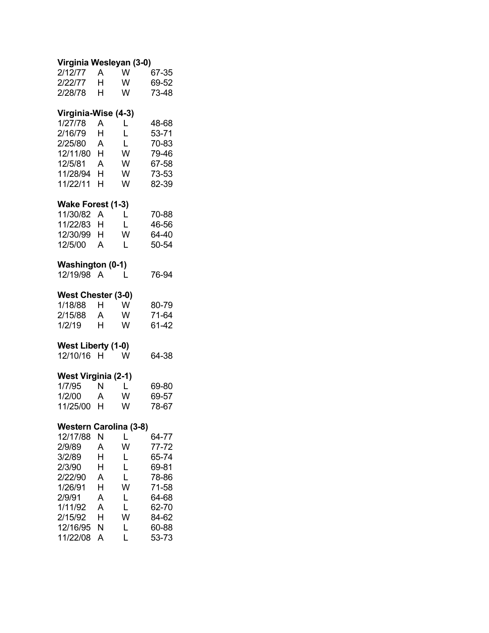| Virginia Wesleyan (3-0)                                                                                                                               |                                                     |                                                     |                                                                                                 |  |  |  |
|-------------------------------------------------------------------------------------------------------------------------------------------------------|-----------------------------------------------------|-----------------------------------------------------|-------------------------------------------------------------------------------------------------|--|--|--|
| 2/12/77<br>2/22/77<br>2/28/78                                                                                                                         | $\mathsf{A}$<br>H.<br>H                             | W<br>W<br>W                                         | 67-35<br>69-52<br>73-48                                                                         |  |  |  |
| Virginia-Wise (4-3)<br>1/27/78<br>2/16/79<br>2/25/80<br>12/11/80<br>12/5/81<br>11/28/94<br>11/22/11                                                   | A<br>Н<br>$\mathsf{A}$<br>H<br>A<br>H.<br>H         | L<br>Ĺ<br>L<br>W<br>W<br>W<br>W                     | 48-68<br>53-71<br>70-83<br>79-46<br>67-58<br>73-53<br>82-39                                     |  |  |  |
| Wake Forest (1-3)<br>11/30/82<br>11/22/83<br>12/30/99<br>12/5/00                                                                                      | Α<br>H.<br>H<br>A                                   | L<br>L<br>W<br>L                                    | 70-88<br>46-56<br>64-40<br>50-54                                                                |  |  |  |
| <b>Washington (0-1)</b><br>12/19/98 A                                                                                                                 |                                                     | L                                                   | 76-94                                                                                           |  |  |  |
| West Chester (3-0)<br>1/18/88<br>2/15/88<br>1/2/19                                                                                                    | H.<br>A<br>H.                                       | W<br>W<br>W                                         | 80-79<br>71-64<br>61-42                                                                         |  |  |  |
| West Liberty (1-0)<br>12/10/16                                                                                                                        | H.                                                  | W                                                   | 64-38                                                                                           |  |  |  |
| <b>West Virginia (2-1)</b><br>1/7/95<br>1/2/00<br>11/25/00 H                                                                                          | N<br>$\mathsf{A}$                                   | $\mathsf{L}$<br>W<br>W                              | 69-80<br>69-57<br>78-67                                                                         |  |  |  |
| <b>Western Carolina (3-8)</b><br>12/17/88<br>2/9/89<br>3/2/89<br>2/3/90<br>2/22/90<br>1/26/91<br>2/9/91<br>1/11/92<br>2/15/92<br>12/16/95<br>11/22/08 | N<br>A<br>H<br>Н<br>A<br>H<br>A<br>A<br>H<br>Ν<br>A | L<br>W<br>L<br>L<br>L<br>W<br>L<br>L<br>W<br>L<br>L | 64-77<br>77-72<br>65-74<br>69-81<br>78-86<br>71-58<br>64-68<br>62-70<br>84-62<br>60-88<br>53-73 |  |  |  |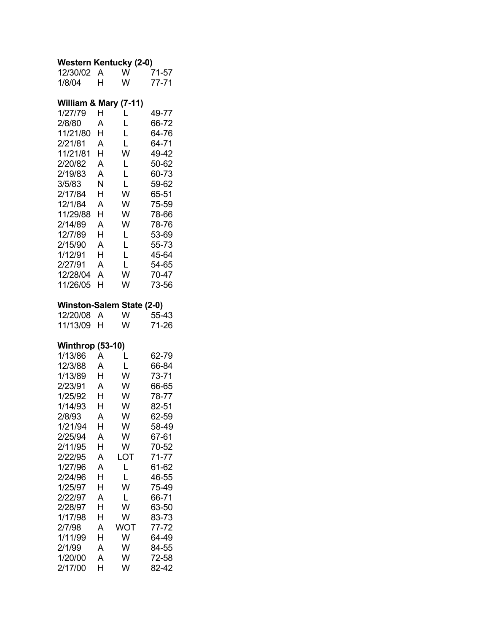#### **Western Kentucky (2-0)**

| 12/30/02                  | А      | W      | 71-57          |  |  |  |
|---------------------------|--------|--------|----------------|--|--|--|
| 1/8/04                    | H      | W      | $77 - 71$      |  |  |  |
|                           |        |        |                |  |  |  |
| William & Mary (7-11)     |        |        |                |  |  |  |
| 1/27/79                   | Н      | L      | 49-77          |  |  |  |
| 2/8/80                    | А      | L      | 66-72          |  |  |  |
| 11/21/80                  | Н      | L      | 64-76          |  |  |  |
| 2/21/81                   | Α      | L      | 64-71          |  |  |  |
| 11/21/81                  | н      | W      | 49-42          |  |  |  |
| 2/20/82                   | A      | L      | 50-62          |  |  |  |
| 2/19/83                   | A      | L      | 60-73          |  |  |  |
| 3/5/83                    | N      | L      | 59-62          |  |  |  |
| 2/17/84                   | Н      | W      | 65-51          |  |  |  |
| 12/1/84                   | A      | W      | 75-59          |  |  |  |
| 11/29/88                  | H      | W      | 78-66          |  |  |  |
| 2/14/89                   | A<br>H | W      | 78-76          |  |  |  |
| 12/7/89                   | A      | L<br>Ĺ | 53-69<br>55-73 |  |  |  |
| 2/15/90<br>1/12/91        | H      | L      | 45-64          |  |  |  |
| 2/27/91                   | A      | L      | 54-65          |  |  |  |
| 12/28/04                  | A      | W      | 70-47          |  |  |  |
| 11/26/05                  | H      | W      | 73-56          |  |  |  |
|                           |        |        |                |  |  |  |
| Winston-Salem State (2-0) |        |        |                |  |  |  |
| 12/20/08                  | A      | W      | 55-43          |  |  |  |
| 11/13/09                  | н      | W      | 71-26          |  |  |  |
| <b>Winthrop (53-10)</b>   |        |        |                |  |  |  |
| 1/13/86                   | A      | L      | 62-79          |  |  |  |
| 12/3/88                   | A      | L      | 66-84          |  |  |  |
| 1/13/89                   | Н      | W      | 73-71          |  |  |  |
| 2/23/91                   | A      | W      | 66-65          |  |  |  |
| 1/25/92                   | H      | W      | 78-77          |  |  |  |
| 1/14/93                   | H      | W      | 82-51          |  |  |  |
| 2/8/93                    | A      | W      | 62-59          |  |  |  |
| 1/21/94                   | H      | W      | 58-49          |  |  |  |
| 2/25/94                   | A      | W      | 67-61          |  |  |  |
| 2/11/95                   | Н      | W      | 70-52          |  |  |  |
| 2/22/95                   | A      | LOT    | 71-77          |  |  |  |
| 1/27/96                   | A      | L      | 61-62          |  |  |  |
| 2/24/96                   |        |        |                |  |  |  |
| 1/25/97                   | Н      |        | 46-55          |  |  |  |
|                           | H      | L<br>W | 75-49          |  |  |  |
| 2/22/97                   | A      | L      | 66-71          |  |  |  |
| 2/28/97                   | Н      | W      | 63-50          |  |  |  |
| 1/17/98                   | Н      | W      | 83-73          |  |  |  |
| 2/7/98                    | A      | WOT    | 77-72          |  |  |  |
| 1/11/99                   | Н      | W      | 64-49          |  |  |  |
| 2/1/99                    | A      | W      | 84-55          |  |  |  |
| 1/20/00                   | A      | W      | 72-58          |  |  |  |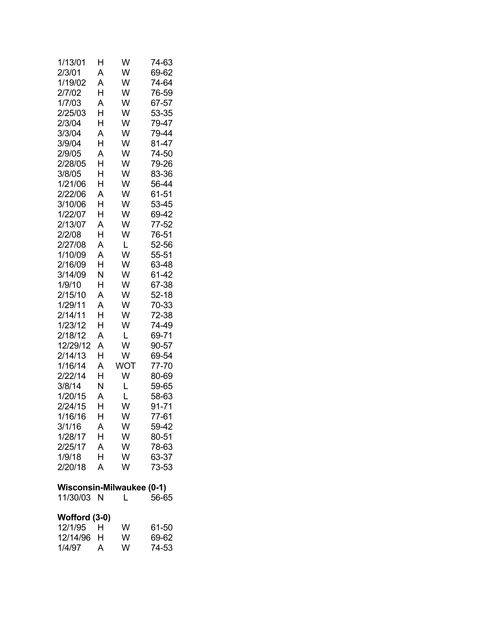| 1/13/01                          | Н | W   | 74-63 |  |  |  |  |
|----------------------------------|---|-----|-------|--|--|--|--|
| 2/3/01                           | A | W   | 69-62 |  |  |  |  |
| 1/19/02                          | A | W   | 74-64 |  |  |  |  |
| 2/7/02                           | H | W   | 76-59 |  |  |  |  |
| 1/7/03                           | A | W   | 67-57 |  |  |  |  |
| 2/25/03                          | Н | W   | 53-35 |  |  |  |  |
| 2/3/04                           | H | W   | 79-47 |  |  |  |  |
| 3/3/04                           | A | W   | 79-44 |  |  |  |  |
| 3/9/04                           | H | W   | 81-47 |  |  |  |  |
| 2/9/05                           | A | W   | 74-50 |  |  |  |  |
| 2/28/05                          | H | W   | 79-26 |  |  |  |  |
| 3/8/05                           | H | W   | 83-36 |  |  |  |  |
| 1/21/06                          | Н | W   | 56-44 |  |  |  |  |
| 2/22/06                          | A | W   | 61-51 |  |  |  |  |
| 3/10/06                          | H | W   | 53-45 |  |  |  |  |
| 1/22/07                          | Н | W   | 69-42 |  |  |  |  |
| 2/13/07                          | A | W   | 77-52 |  |  |  |  |
| 2/2/08                           | Н | W   | 76-51 |  |  |  |  |
| 2/27/08                          | A | L   | 52-56 |  |  |  |  |
| 1/10/09                          | A | W   | 55-51 |  |  |  |  |
| 2/16/09                          | H | W   | 63-48 |  |  |  |  |
| 3/14/09                          | N | W   | 61-42 |  |  |  |  |
| 1/9/10                           | Н | W   | 67-38 |  |  |  |  |
| 2/15/10                          | A | W   | 52-18 |  |  |  |  |
| 1/29/11                          | A | W   | 70-33 |  |  |  |  |
| 2/14/11                          | Н | W   | 72-38 |  |  |  |  |
| 1/23/12                          | Н | W   | 74-49 |  |  |  |  |
| 2/18/12                          | A | L   | 69-71 |  |  |  |  |
| 12/29/12                         | A | W   | 90-57 |  |  |  |  |
| 2/14/13                          | H | W   | 69-54 |  |  |  |  |
| 1/16/14                          | A | WOT | 77-70 |  |  |  |  |
| 2/22/14                          | H | W   | 80-69 |  |  |  |  |
| 3/8/14                           | N | L   | 59-65 |  |  |  |  |
| 1/20/15                          | A | L   | 58-63 |  |  |  |  |
| 2/24/15                          | H | W   | 91-71 |  |  |  |  |
| 1/16/16                          | Н | W   | 77-61 |  |  |  |  |
| 3/1/16                           | Α | W   | 59-42 |  |  |  |  |
| 1/28/17                          | H | W   | 80-51 |  |  |  |  |
| 2/25/17                          | A | W   | 78-63 |  |  |  |  |
| 1/9/18                           | H | W   | 63-37 |  |  |  |  |
| 2/20/18                          | A | W   | 73-53 |  |  |  |  |
|                                  |   |     |       |  |  |  |  |
| <b>Wisconsin-Milwaukee (0-1)</b> |   |     |       |  |  |  |  |
| 11/30/03 N                       |   | L   | 56-65 |  |  |  |  |
|                                  |   |     |       |  |  |  |  |
| Wofford (3-0)<br>12/1/95         | Н | W   | 61-50 |  |  |  |  |
| 12/14/96                         | H | W   | 69-62 |  |  |  |  |
| 1/4/97                           | A | W   | 74-53 |  |  |  |  |
|                                  |   |     |       |  |  |  |  |